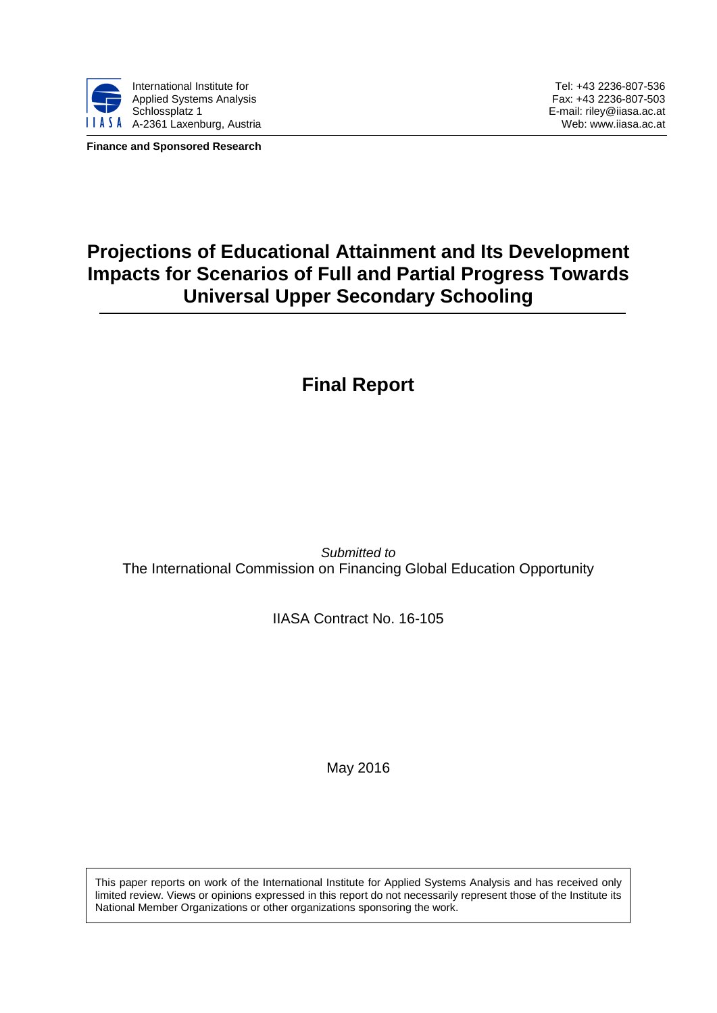

**Finance and Sponsored Research**

Tel: +43 2236-807-536 Fax: +43 2236-807-503 E-mail: riley@iiasa.ac.at Web: www.iiasa.ac.at

# **Projections of Educational Attainment and Its Development Impacts for Scenarios of Full and Partial Progress Towards Universal Upper Secondary Schooling**

# **Final Report**

*Submitted to* The International Commission on Financing Global Education Opportunity

IIASA Contract No. 16-105

May 2016

This paper reports on work of the International Institute for Applied Systems Analysis and has received only limited review. Views or opinions expressed in this report do not necessarily represent those of the Institute its National Member Organizations or other organizations sponsoring the work.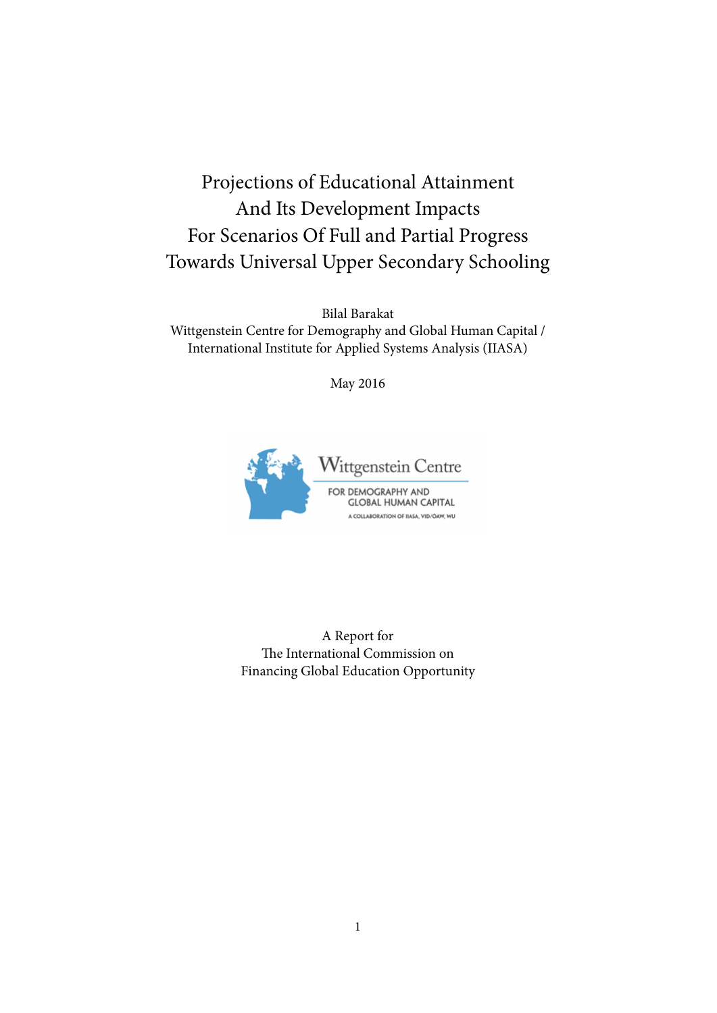# Projections of Educational Attainment And Its Development Impacts For Scenarios Of Full and Partial Progress Towards Universal Upper Secondary Schooling

Bilal Barakat Wittgenstein Centre for Demography and Global Human Capital / International Institute for Applied Systems Analysis (IIASA)

May 2016



A Report for The International Commission on Financing Global Education Opportunity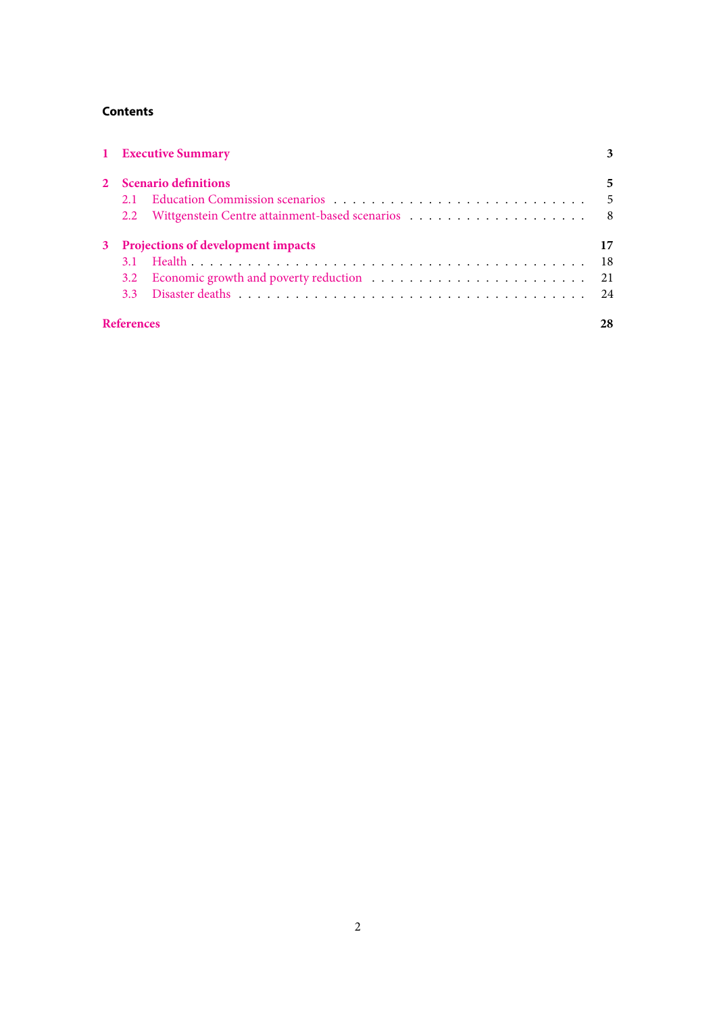# **Contents**

| 1 Executive Summary                  |                        | 3  |  |  |
|--------------------------------------|------------------------|----|--|--|
|                                      | 2 Scenario definitions |    |  |  |
| 2.1                                  |                        |    |  |  |
|                                      |                        |    |  |  |
| 3 Projections of development impacts |                        |    |  |  |
|                                      |                        |    |  |  |
|                                      |                        |    |  |  |
|                                      |                        |    |  |  |
| <b>References</b>                    |                        | 28 |  |  |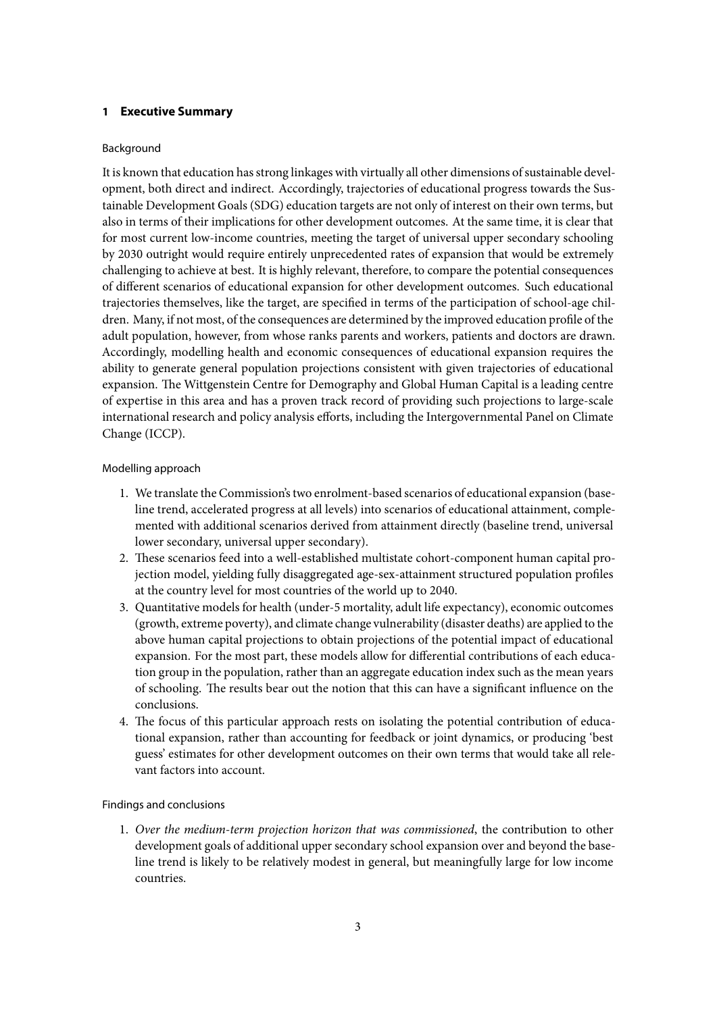# <span id="page-3-0"></span>**1 Executive Summary**

#### Background

It is known that education has strong linkages with virtually all other dimensions of sustainable development, both direct and indirect. Accordingly, trajectories of educational progress towards the Sustainable Development Goals (SDG) education targets are not only of interest on their own terms, but also in terms of their implications for other development outcomes. At the same time, it is clear that for most current low-income countries, meeting the target of universal upper secondary schooling by 2030 outright would require entirely unprecedented rates of expansion that would be extremely challenging to achieve at best. It is highly relevant, therefore, to compare the potential consequences of different scenarios of educational expansion for other development outcomes. Such educational trajectories themselves, like the target, are specified in terms of the participation of school-age children. Many, if not most, of the consequences are determined by the improved education profile of the adult population, however, from whose ranks parents and workers, patients and doctors are drawn. Accordingly, modelling health and economic consequences of educational expansion requires the ability to generate general population projections consistent with given trajectories of educational expansion. The Wittgenstein Centre for Demography and Global Human Capital is a leading centre of expertise in this area and has a proven track record of providing such projections to large-scale international research and policy analysis efforts, including the Intergovernmental Panel on Climate Change (ICCP).

#### Modelling approach

- 1. We translate the Commission's two enrolment-based scenarios of educational expansion (baseline trend, accelerated progress at all levels) into scenarios of educational attainment, complemented with additional scenarios derived from attainment directly (baseline trend, universal lower secondary, universal upper secondary).
- 2. These scenarios feed into a well-established multistate cohort-component human capital projection model, yielding fully disaggregated age-sex-attainment structured population profiles at the country level for most countries of the world up to 2040.
- 3. Quantitative models for health (under-5 mortality, adult life expectancy), economic outcomes (growth, extreme poverty), and climate change vulnerability (disaster deaths) are applied to the above human capital projections to obtain projections of the potential impact of educational expansion. For the most part, these models allow for differential contributions of each education group in the population, rather than an aggregate education index such as the mean years of schooling. The results bear out the notion that this can have a significant influence on the conclusions.
- 4. The focus of this particular approach rests on isolating the potential contribution of educational expansion, rather than accounting for feedback or joint dynamics, or producing 'best guess' estimates for other development outcomes on their own terms that would take all relevant factors into account.

# Findings and conclusions

1. *Over the medium-term projection horizon that was commissioned*, the contribution to other development goals of additional upper secondary school expansion over and beyond the baseline trend is likely to be relatively modest in general, but meaningfully large for low income countries.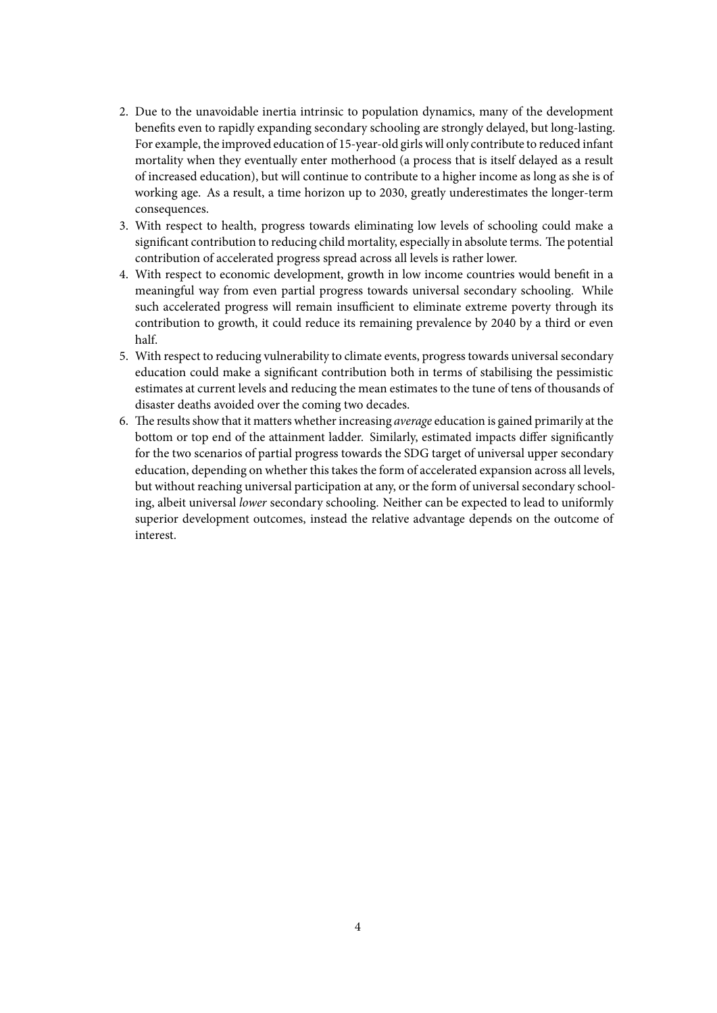- 2. Due to the unavoidable inertia intrinsic to population dynamics, many of the development benefits even to rapidly expanding secondary schooling are strongly delayed, but long-lasting. For example, the improved education of 15-year-old girls will only contribute to reduced infant mortality when they eventually enter motherhood (a process that is itself delayed as a result of increased education), but will continue to contribute to a higher income as long as she is of working age. As a result, a time horizon up to 2030, greatly underestimates the longer-term consequences.
- 3. With respect to health, progress towards eliminating low levels of schooling could make a significant contribution to reducing child mortality, especially in absolute terms. The potential contribution of accelerated progress spread across all levels is rather lower.
- 4. With respect to economic development, growth in low income countries would benefit in a meaningful way from even partial progress towards universal secondary schooling. While such accelerated progress will remain insufficient to eliminate extreme poverty through its contribution to growth, it could reduce its remaining prevalence by 2040 by a third or even half.
- 5. With respect to reducing vulnerability to climate events, progress towards universal secondary education could make a significant contribution both in terms of stabilising the pessimistic estimates at current levels and reducing the mean estimates to the tune of tens of thousands of disaster deaths avoided over the coming two decades.
- 6. The results show that it matters whether increasing *average* education is gained primarily at the bottom or top end of the attainment ladder. Similarly, estimated impacts differ significantly for the two scenarios of partial progress towards the SDG target of universal upper secondary education, depending on whether this takes the form of accelerated expansion across all levels, but without reaching universal participation at any, or the form of universal secondary schooling, albeit universal *lower* secondary schooling. Neither can be expected to lead to uniformly superior development outcomes, instead the relative advantage depends on the outcome of interest.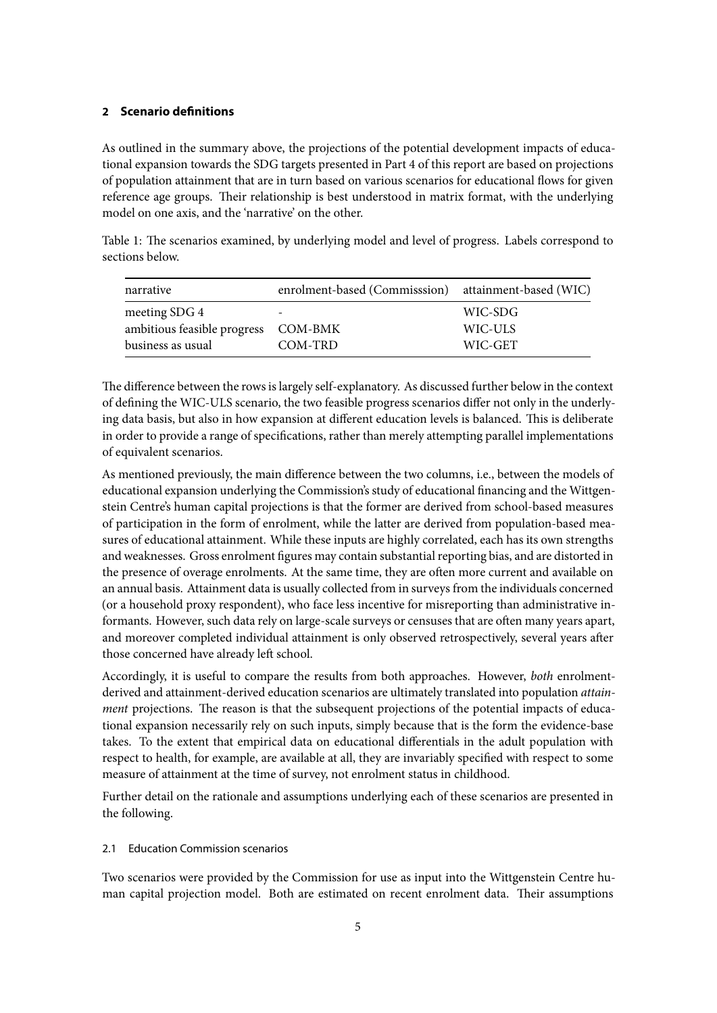## <span id="page-5-0"></span>**2 Scenario definitions**

As outlined in the summary above, the projections of the potential development impacts of educational expansion towards the SDG targets presented in Part 4 of this report are based on projections of population attainment that are in turn based on various scenarios for educational flows for given reference age groups. Their relationship is best understood in matrix format, with the underlying model on one axis, and the 'narrative' on the other.

Table 1: The scenarios examined, by underlying model and level of progress. Labels correspond to sections below.

| narrative                   | enrolment-based (Commisssion) attainment-based (WIC) |         |
|-----------------------------|------------------------------------------------------|---------|
| meeting SDG 4               |                                                      | WIC-SDG |
| ambitious feasible progress | COM-BMK                                              | WIC-ULS |
| business as usual           | COM-TRD                                              | WIC-GET |

The difference between the rows is largely self-explanatory. As discussed further below in the context of defining the WIC-ULS scenario, the two feasible progress scenarios differ not only in the underlying data basis, but also in how expansion at different education levels is balanced. This is deliberate in order to provide a range of specifications, rather than merely attempting parallel implementations of equivalent scenarios.

As mentioned previously, the main difference between the two columns, i.e., between the models of educational expansion underlying the Commission's study of educational financing and the Wittgenstein Centre's human capital projections is that the former are derived from school-based measures of participation in the form of enrolment, while the latter are derived from population-based measures of educational attainment. While these inputs are highly correlated, each has its own strengths and weaknesses. Gross enrolment figures may contain substantial reporting bias, and are distorted in the presence of overage enrolments. At the same time, they are often more current and available on an annual basis. Attainment data is usually collected from in surveys from the individuals concerned (or a household proxy respondent), who face less incentive for misreporting than administrative informants. However, such data rely on large-scale surveys or censuses that are often many years apart, and moreover completed individual attainment is only observed retrospectively, several years after those concerned have already left school.

Accordingly, it is useful to compare the results from both approaches. However, *both* enrolmentderived and attainment-derived education scenarios are ultimately translated into population *attainment* projections. The reason is that the subsequent projections of the potential impacts of educational expansion necessarily rely on such inputs, simply because that is the form the evidence-base takes. To the extent that empirical data on educational differentials in the adult population with respect to health, for example, are available at all, they are invariably specified with respect to some measure of attainment at the time of survey, not enrolment status in childhood.

Further detail on the rationale and assumptions underlying each of these scenarios are presented in the following.

#### <span id="page-5-1"></span>2.1 Education Commission scenarios

Two scenarios were provided by the Commission for use as input into the Wittgenstein Centre human capital projection model. Both are estimated on recent enrolment data. Their assumptions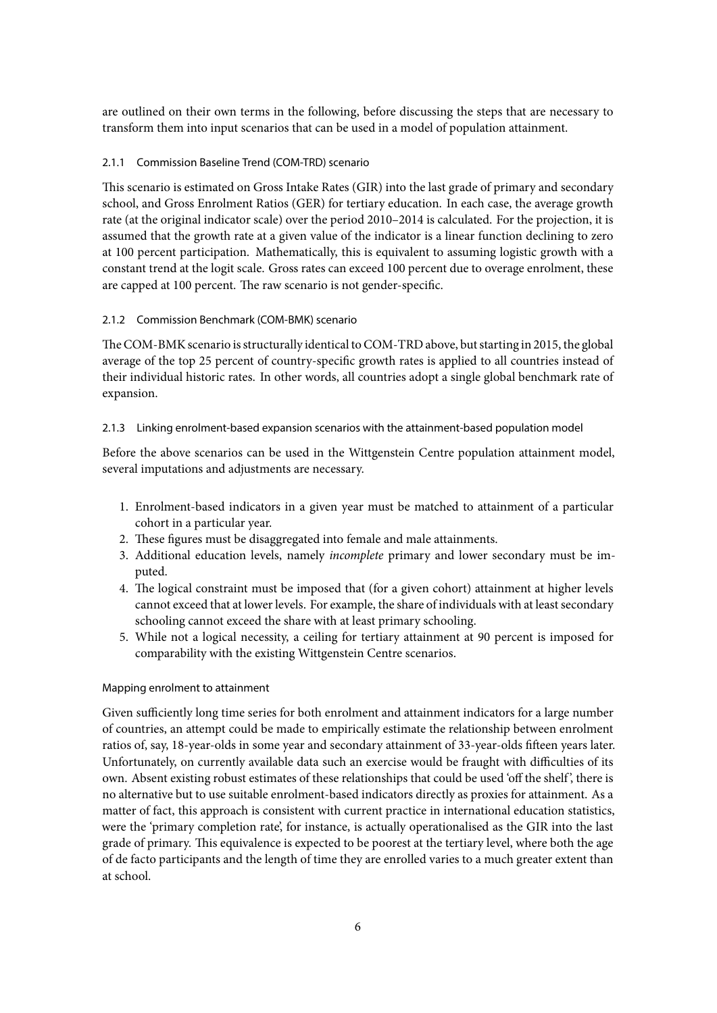are outlined on their own terms in the following, before discussing the steps that are necessary to transform them into input scenarios that can be used in a model of population attainment.

# 2.1.1 Commission Baseline Trend (COM-TRD) scenario

This scenario is estimated on Gross Intake Rates (GIR) into the last grade of primary and secondary school, and Gross Enrolment Ratios (GER) for tertiary education. In each case, the average growth rate (at the original indicator scale) over the period 2010–2014 is calculated. For the projection, it is assumed that the growth rate at a given value of the indicator is a linear function declining to zero at 100 percent participation. Mathematically, this is equivalent to assuming logistic growth with a constant trend at the logit scale. Gross rates can exceed 100 percent due to overage enrolment, these are capped at 100 percent. The raw scenario is not gender-specific.

# 2.1.2 Commission Benchmark (COM-BMK) scenario

The COM-BMK scenario is structurally identical to COM-TRD above, but starting in 2015, the global average of the top 25 percent of country-specific growth rates is applied to all countries instead of their individual historic rates. In other words, all countries adopt a single global benchmark rate of expansion.

# 2.1.3 Linking enrolment-based expansion scenarios with the attainment-based population model

Before the above scenarios can be used in the Wittgenstein Centre population attainment model, several imputations and adjustments are necessary.

- 1. Enrolment-based indicators in a given year must be matched to attainment of a particular cohort in a particular year.
- 2. These figures must be disaggregated into female and male attainments.
- 3. Additional education levels, namely *incomplete* primary and lower secondary must be imputed.
- 4. The logical constraint must be imposed that (for a given cohort) attainment at higher levels cannot exceed that at lower levels. For example, the share of individuals with at least secondary schooling cannot exceed the share with at least primary schooling.
- 5. While not a logical necessity, a ceiling for tertiary attainment at 90 percent is imposed for comparability with the existing Wittgenstein Centre scenarios.

#### Mapping enrolment to attainment

Given sufficiently long time series for both enrolment and attainment indicators for a large number of countries, an attempt could be made to empirically estimate the relationship between enrolment ratios of, say, 18-year-olds in some year and secondary attainment of 33-year-olds fifteen years later. Unfortunately, on currently available data such an exercise would be fraught with difficulties of its own. Absent existing robust estimates of these relationships that could be used 'off the shelf ', there is no alternative but to use suitable enrolment-based indicators directly as proxies for attainment. As a matter of fact, this approach is consistent with current practice in international education statistics, were the 'primary completion rate', for instance, is actually operationalised as the GIR into the last grade of primary. This equivalence is expected to be poorest at the tertiary level, where both the age of de facto participants and the length of time they are enrolled varies to a much greater extent than at school.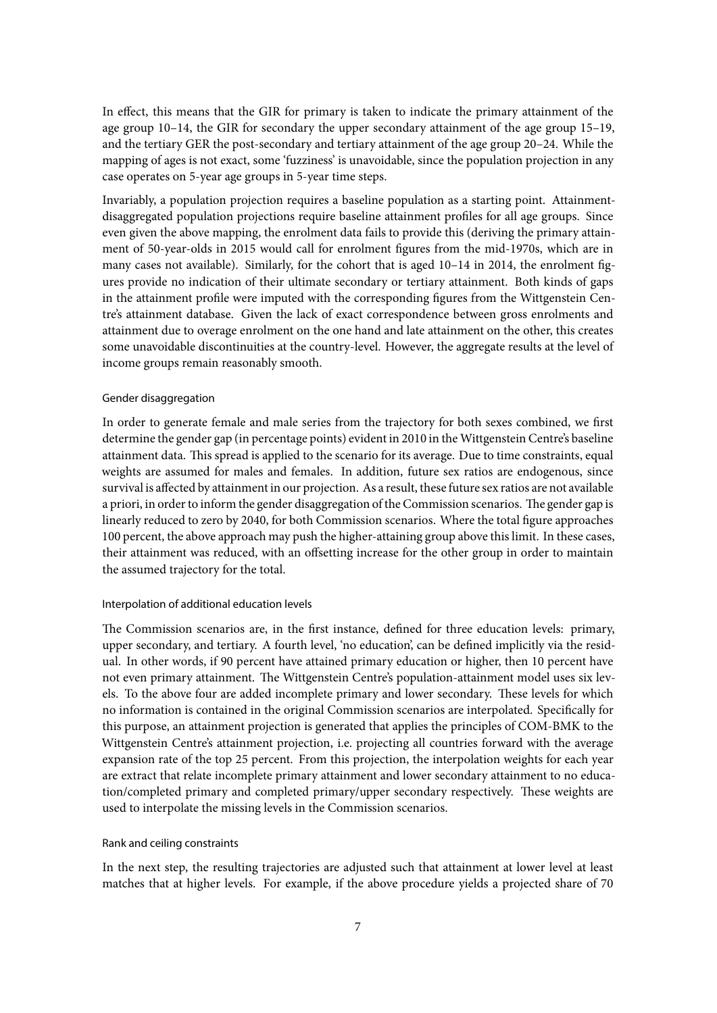In effect, this means that the GIR for primary is taken to indicate the primary attainment of the age group 10–14, the GIR for secondary the upper secondary attainment of the age group 15–19, and the tertiary GER the post-secondary and tertiary attainment of the age group 20–24. While the mapping of ages is not exact, some 'fuzziness' is unavoidable, since the population projection in any case operates on 5-year age groups in 5-year time steps.

Invariably, a population projection requires a baseline population as a starting point. Attainmentdisaggregated population projections require baseline attainment profiles for all age groups. Since even given the above mapping, the enrolment data fails to provide this (deriving the primary attainment of 50-year-olds in 2015 would call for enrolment figures from the mid-1970s, which are in many cases not available). Similarly, for the cohort that is aged 10–14 in 2014, the enrolment figures provide no indication of their ultimate secondary or tertiary attainment. Both kinds of gaps in the attainment profile were imputed with the corresponding figures from the Wittgenstein Centre's attainment database. Given the lack of exact correspondence between gross enrolments and attainment due to overage enrolment on the one hand and late attainment on the other, this creates some unavoidable discontinuities at the country-level. However, the aggregate results at the level of income groups remain reasonably smooth.

#### Gender disaggregation

In order to generate female and male series from the trajectory for both sexes combined, we first determine the gender gap (in percentage points) evident in 2010 in the Wittgenstein Centre's baseline attainment data. This spread is applied to the scenario for its average. Due to time constraints, equal weights are assumed for males and females. In addition, future sex ratios are endogenous, since survival is affected by attainment in our projection. As a result, these future sex ratios are not available a priori, in order to inform the gender disaggregation of the Commission scenarios. The gender gap is linearly reduced to zero by 2040, for both Commission scenarios. Where the total figure approaches 100 percent, the above approach may push the higher-attaining group above this limit. In these cases, their attainment was reduced, with an offsetting increase for the other group in order to maintain the assumed trajectory for the total.

#### Interpolation of additional education levels

The Commission scenarios are, in the first instance, defined for three education levels: primary, upper secondary, and tertiary. A fourth level, 'no education', can be defined implicitly via the residual. In other words, if 90 percent have attained primary education or higher, then 10 percent have not even primary attainment. The Wittgenstein Centre's population-attainment model uses six levels. To the above four are added incomplete primary and lower secondary. These levels for which no information is contained in the original Commission scenarios are interpolated. Specifically for this purpose, an attainment projection is generated that applies the principles of COM-BMK to the Wittgenstein Centre's attainment projection, i.e. projecting all countries forward with the average expansion rate of the top 25 percent. From this projection, the interpolation weights for each year are extract that relate incomplete primary attainment and lower secondary attainment to no education/completed primary and completed primary/upper secondary respectively. These weights are used to interpolate the missing levels in the Commission scenarios.

#### Rank and ceiling constraints

In the next step, the resulting trajectories are adjusted such that attainment at lower level at least matches that at higher levels. For example, if the above procedure yields a projected share of 70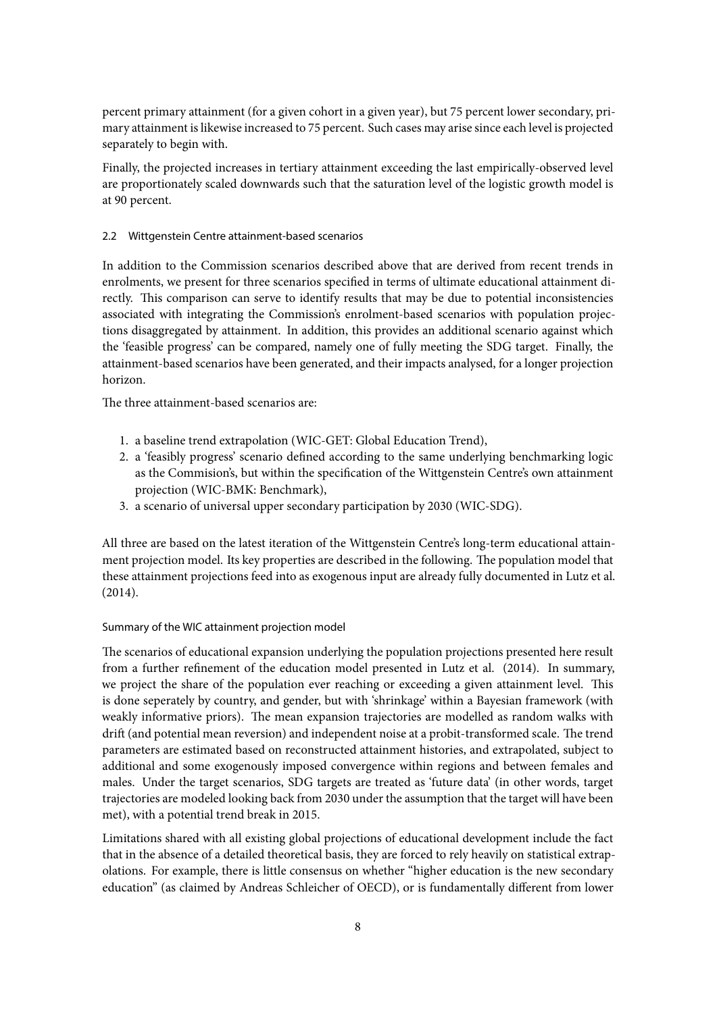percent primary attainment (for a given cohort in a given year), but 75 percent lower secondary, primary attainment is likewise increased to 75 percent. Such cases may arise since each level is projected separately to begin with.

Finally, the projected increases in tertiary attainment exceeding the last empirically-observed level are proportionately scaled downwards such that the saturation level of the logistic growth model is at 90 percent.

# <span id="page-8-0"></span>2.2 Wittgenstein Centre attainment-based scenarios

In addition to the Commission scenarios described above that are derived from recent trends in enrolments, we present for three scenarios specified in terms of ultimate educational attainment directly. This comparison can serve to identify results that may be due to potential inconsistencies associated with integrating the Commission's enrolment-based scenarios with population projections disaggregated by attainment. In addition, this provides an additional scenario against which the 'feasible progress' can be compared, namely one of fully meeting the SDG target. Finally, the attainment-based scenarios have been generated, and their impacts analysed, for a longer projection horizon.

The three attainment-based scenarios are:

- 1. a baseline trend extrapolation (WIC-GET: Global Education Trend),
- 2. a 'feasibly progress' scenario defined according to the same underlying benchmarking logic as the Commision's, but within the specification of the Wittgenstein Centre's own attainment projection (WIC-BMK: Benchmark),
- 3. a scenario of universal upper secondary participation by 2030 (WIC-SDG).

All three are based on the latest iteration of the Wittgenstein Centre's long-term educational attainment projection model. Its key properties are described in the following. The population model that these attainment projections feed into as exogenous input are already fully documented in Lutz et al. (2014).

# Summary of the WIC attainment projection model

The scenarios of educational expansion underlying the population projections presented here result from a further refinement of the education model presented in Lutz et al. (2014). In summary, we project the share of the population ever reaching or exceeding a given attainment level. This is done seperately by country, and gender, but with 'shrinkage' within a Bayesian framework (with weakly informative priors). The mean expansion trajectories are modelled as random walks with drift (and potential mean reversion) and independent noise at a probit-transformed scale. The trend parameters are estimated based on reconstructed attainment histories, and extrapolated, subject to additional and some exogenously imposed convergence within regions and between females and males. Under the target scenarios, SDG targets are treated as 'future data' (in other words, target trajectories are modeled looking back from 2030 under the assumption that the target will have been met), with a potential trend break in 2015.

Limitations shared with all existing global projections of educational development include the fact that in the absence of a detailed theoretical basis, they are forced to rely heavily on statistical extrapolations. For example, there is little consensus on whether "higher education is the new secondary education" (as claimed by Andreas Schleicher of OECD), or is fundamentally different from lower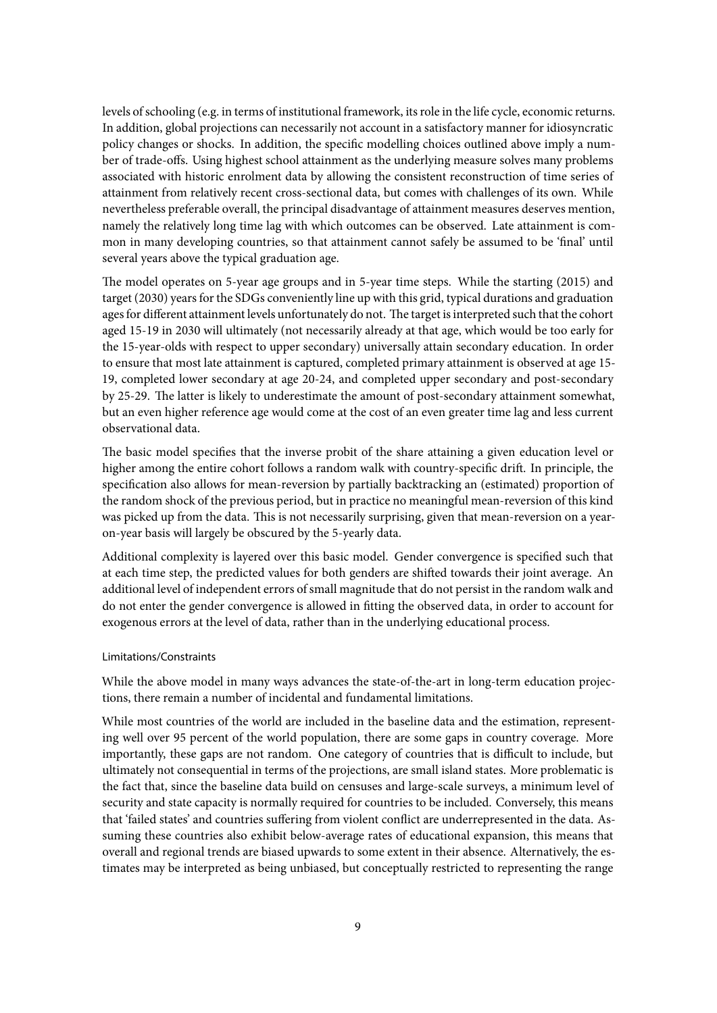levels of schooling (e.g. in terms of institutional framework, its role in the life cycle, economic returns. In addition, global projections can necessarily not account in a satisfactory manner for idiosyncratic policy changes or shocks. In addition, the specific modelling choices outlined above imply a number of trade-offs. Using highest school attainment as the underlying measure solves many problems associated with historic enrolment data by allowing the consistent reconstruction of time series of attainment from relatively recent cross-sectional data, but comes with challenges of its own. While nevertheless preferable overall, the principal disadvantage of attainment measures deserves mention, namely the relatively long time lag with which outcomes can be observed. Late attainment is common in many developing countries, so that attainment cannot safely be assumed to be 'final' until several years above the typical graduation age.

The model operates on 5-year age groups and in 5-year time steps. While the starting (2015) and target (2030) years for the SDGs conveniently line up with this grid, typical durations and graduation ages for different attainment levels unfortunately do not. The target is interpreted such that the cohort aged 15-19 in 2030 will ultimately (not necessarily already at that age, which would be too early for the 15-year-olds with respect to upper secondary) universally attain secondary education. In order to ensure that most late attainment is captured, completed primary attainment is observed at age 15- 19, completed lower secondary at age 20-24, and completed upper secondary and post-secondary by 25-29. The latter is likely to underestimate the amount of post-secondary attainment somewhat, but an even higher reference age would come at the cost of an even greater time lag and less current observational data.

The basic model specifies that the inverse probit of the share attaining a given education level or higher among the entire cohort follows a random walk with country-specific drift. In principle, the specification also allows for mean-reversion by partially backtracking an (estimated) proportion of the random shock of the previous period, but in practice no meaningful mean-reversion of this kind was picked up from the data. This is not necessarily surprising, given that mean-reversion on a yearon-year basis will largely be obscured by the 5-yearly data.

Additional complexity is layered over this basic model. Gender convergence is specified such that at each time step, the predicted values for both genders are shifted towards their joint average. An additional level of independent errors of small magnitude that do not persist in the random walk and do not enter the gender convergence is allowed in fitting the observed data, in order to account for exogenous errors at the level of data, rather than in the underlying educational process.

#### Limitations/Constraints

While the above model in many ways advances the state-of-the-art in long-term education projections, there remain a number of incidental and fundamental limitations.

While most countries of the world are included in the baseline data and the estimation, representing well over 95 percent of the world population, there are some gaps in country coverage. More importantly, these gaps are not random. One category of countries that is difficult to include, but ultimately not consequential in terms of the projections, are small island states. More problematic is the fact that, since the baseline data build on censuses and large-scale surveys, a minimum level of security and state capacity is normally required for countries to be included. Conversely, this means that 'failed states' and countries suffering from violent conflict are underrepresented in the data. Assuming these countries also exhibit below-average rates of educational expansion, this means that overall and regional trends are biased upwards to some extent in their absence. Alternatively, the estimates may be interpreted as being unbiased, but conceptually restricted to representing the range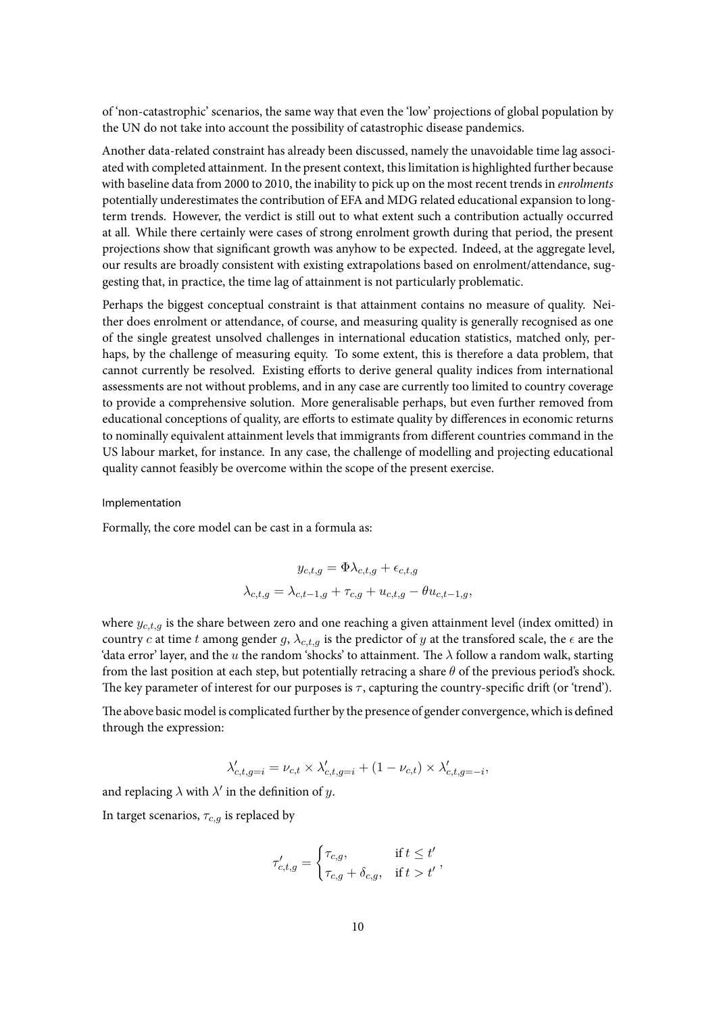of 'non-catastrophic' scenarios, the same way that even the 'low' projections of global population by the UN do not take into account the possibility of catastrophic disease pandemics.

Another data-related constraint has already been discussed, namely the unavoidable time lag associated with completed attainment. In the present context, this limitation is highlighted further because with baseline data from 2000 to 2010, the inability to pick up on the most recent trends in *enrolments* potentially underestimates the contribution of EFA and MDG related educational expansion to longterm trends. However, the verdict is still out to what extent such a contribution actually occurred at all. While there certainly were cases of strong enrolment growth during that period, the present projections show that significant growth was anyhow to be expected. Indeed, at the aggregate level, our results are broadly consistent with existing extrapolations based on enrolment/attendance, suggesting that, in practice, the time lag of attainment is not particularly problematic.

Perhaps the biggest conceptual constraint is that attainment contains no measure of quality. Neither does enrolment or attendance, of course, and measuring quality is generally recognised as one of the single greatest unsolved challenges in international education statistics, matched only, perhaps, by the challenge of measuring equity. To some extent, this is therefore a data problem, that cannot currently be resolved. Existing efforts to derive general quality indices from international assessments are not without problems, and in any case are currently too limited to country coverage to provide a comprehensive solution. More generalisable perhaps, but even further removed from educational conceptions of quality, are efforts to estimate quality by differences in economic returns to nominally equivalent attainment levels that immigrants from different countries command in the US labour market, for instance. In any case, the challenge of modelling and projecting educational quality cannot feasibly be overcome within the scope of the present exercise.

#### Implementation

Formally, the core model can be cast in a formula as:

$$
y_{c,t,g} = \Phi \lambda_{c,t,g} + \epsilon_{c,t,g}
$$

$$
\lambda_{c,t,g} = \lambda_{c,t-1,g} + \tau_{c,g} + u_{c,t,g} - \theta u_{c,t-1,g},
$$

where *yc,t,g* is the share between zero and one reaching a given attainment level (index omitted) in country *c* at time *t* among gender *g*,  $\lambda_{c,t,g}$  is the predictor of *y* at the transfored scale, the  $\epsilon$  are the 'data error' layer, and the *u* the random 'shocks' to attainment. The *λ* follow a random walk, starting from the last position at each step, but potentially retracing a share *θ* of the previous period's shock. The key parameter of interest for our purposes is *τ* , capturing the country-specific drift (or 'trend').

The above basic model is complicated further by the presence of gender convergence, which is defined through the expression:

$$
\lambda'_{c,t,g=i} = \nu_{c,t} \times \lambda'_{c,t,g=i} + (1 - \nu_{c,t}) \times \lambda'_{c,t,g=-i},
$$

and replacing  $\lambda$  with  $\lambda'$  in the definition of  $y$ .

In target scenarios, *τc,g* is replaced by

$$
\tau'_{c,t,g} = \begin{cases} \tau_{c,g}, & \text{if } t \le t' \\ \tau_{c,g} + \delta_{c,g}, & \text{if } t > t' \end{cases}
$$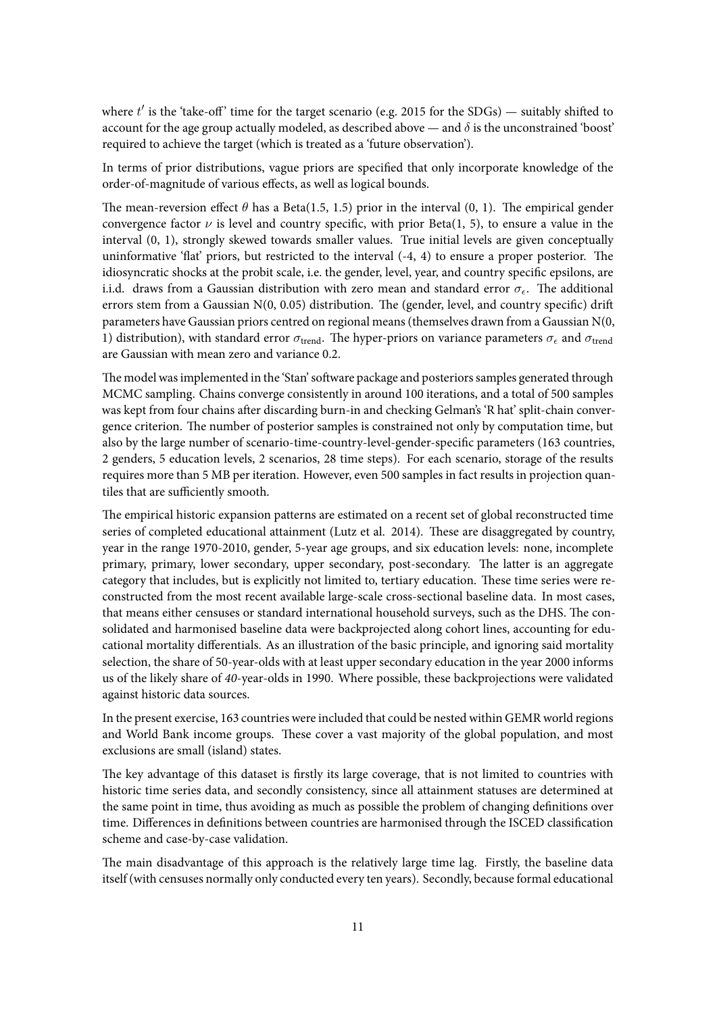where  $t'$  is the 'take-off' time for the target scenario (e.g. 2015 for the SDGs) — suitably shifted to account for the age group actually modeled, as described above — and  $\delta$  is the unconstrained 'boost' required to achieve the target (which is treated as a 'future observation').

In terms of prior distributions, vague priors are specified that only incorporate knowledge of the order-of-magnitude of various effects, as well as logical bounds.

The mean-reversion effect  $\theta$  has a Beta(1.5, 1.5) prior in the interval (0, 1). The empirical gender convergence factor  $\nu$  is level and country specific, with prior Beta(1, 5), to ensure a value in the interval (0, 1), strongly skewed towards smaller values. True initial levels are given conceptually uninformative 'flat' priors, but restricted to the interval (-4, 4) to ensure a proper posterior. The idiosyncratic shocks at the probit scale, i.e. the gender, level, year, and country specific epsilons, are i.i.d. draws from a Gaussian distribution with zero mean and standard error *σϵ*. The additional errors stem from a Gaussian N(0, 0.05) distribution. The (gender, level, and country specific) drift parameters have Gaussian priors centred on regional means (themselves drawn from a Gaussian N(0, 1) distribution), with standard error  $\sigma_{\text{trend}}$ . The hyper-priors on variance parameters  $\sigma_{\epsilon}$  and  $\sigma_{\text{trend}}$ are Gaussian with mean zero and variance 0.2.

The model was implemented in the 'Stan' software package and posteriors samples generated through MCMC sampling. Chains converge consistently in around 100 iterations, and a total of 500 samples was kept from four chains after discarding burn-in and checking Gelman's 'R hat' split-chain convergence criterion. The number of posterior samples is constrained not only by computation time, but also by the large number of scenario-time-country-level-gender-specific parameters (163 countries, 2 genders, 5 education levels, 2 scenarios, 28 time steps). For each scenario, storage of the results requires more than 5 MB per iteration. However, even 500 samples in fact results in projection quantiles that are sufficiently smooth.

The empirical historic expansion patterns are estimated on a recent set of global reconstructed time series of completed educational attainment (Lutz et al. 2014). These are disaggregated by country, year in the range 1970-2010, gender, 5-year age groups, and six education levels: none, incomplete primary, primary, lower secondary, upper secondary, post-secondary. The latter is an aggregate category that includes, but is explicitly not limited to, tertiary education. These time series were reconstructed from the most recent available large-scale cross-sectional baseline data. In most cases, that means either censuses or standard international household surveys, such as the DHS. The consolidated and harmonised baseline data were backprojected along cohort lines, accounting for educational mortality differentials. As an illustration of the basic principle, and ignoring said mortality selection, the share of 50-year-olds with at least upper secondary education in the year 2000 informs us of the likely share of *40*-year-olds in 1990. Where possible, these backprojections were validated against historic data sources.

In the present exercise, 163 countries were included that could be nested within GEMR world regions and World Bank income groups. These cover a vast majority of the global population, and most exclusions are small (island) states.

The key advantage of this dataset is firstly its large coverage, that is not limited to countries with historic time series data, and secondly consistency, since all attainment statuses are determined at the same point in time, thus avoiding as much as possible the problem of changing definitions over time. Differences in definitions between countries are harmonised through the ISCED classification scheme and case-by-case validation.

The main disadvantage of this approach is the relatively large time lag. Firstly, the baseline data itself (with censuses normally only conducted every ten years). Secondly, because formal educational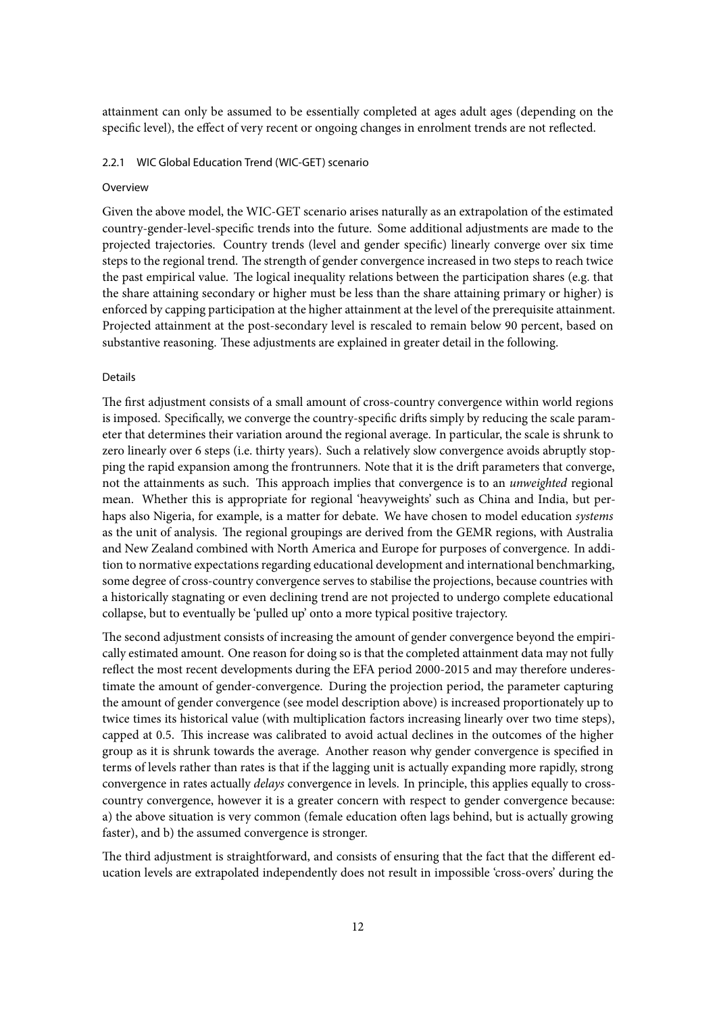attainment can only be assumed to be essentially completed at ages adult ages (depending on the specific level), the effect of very recent or ongoing changes in enrolment trends are not reflected.

#### 2.2.1 WIC Global Education Trend (WIC-GET) scenario

#### **Overview**

Given the above model, the WIC-GET scenario arises naturally as an extrapolation of the estimated country-gender-level-specific trends into the future. Some additional adjustments are made to the projected trajectories. Country trends (level and gender specific) linearly converge over six time steps to the regional trend. The strength of gender convergence increased in two steps to reach twice the past empirical value. The logical inequality relations between the participation shares (e.g. that the share attaining secondary or higher must be less than the share attaining primary or higher) is enforced by capping participation at the higher attainment at the level of the prerequisite attainment. Projected attainment at the post-secondary level is rescaled to remain below 90 percent, based on substantive reasoning. These adjustments are explained in greater detail in the following.

#### Details

The first adjustment consists of a small amount of cross-country convergence within world regions is imposed. Specifically, we converge the country-specific drifts simply by reducing the scale parameter that determines their variation around the regional average. In particular, the scale is shrunk to zero linearly over 6 steps (i.e. thirty years). Such a relatively slow convergence avoids abruptly stopping the rapid expansion among the frontrunners. Note that it is the drift parameters that converge, not the attainments as such. This approach implies that convergence is to an *unweighted* regional mean. Whether this is appropriate for regional 'heavyweights' such as China and India, but perhaps also Nigeria, for example, is a matter for debate. We have chosen to model education *systems* as the unit of analysis. The regional groupings are derived from the GEMR regions, with Australia and New Zealand combined with North America and Europe for purposes of convergence. In addition to normative expectations regarding educational development and international benchmarking, some degree of cross-country convergence serves to stabilise the projections, because countries with a historically stagnating or even declining trend are not projected to undergo complete educational collapse, but to eventually be 'pulled up' onto a more typical positive trajectory.

The second adjustment consists of increasing the amount of gender convergence beyond the empirically estimated amount. One reason for doing so is that the completed attainment data may not fully reflect the most recent developments during the EFA period 2000-2015 and may therefore underestimate the amount of gender-convergence. During the projection period, the parameter capturing the amount of gender convergence (see model description above) is increased proportionately up to twice times its historical value (with multiplication factors increasing linearly over two time steps), capped at 0.5. This increase was calibrated to avoid actual declines in the outcomes of the higher group as it is shrunk towards the average. Another reason why gender convergence is specified in terms of levels rather than rates is that if the lagging unit is actually expanding more rapidly, strong convergence in rates actually *delays* convergence in levels. In principle, this applies equally to crosscountry convergence, however it is a greater concern with respect to gender convergence because: a) the above situation is very common (female education often lags behind, but is actually growing faster), and b) the assumed convergence is stronger.

The third adjustment is straightforward, and consists of ensuring that the fact that the different education levels are extrapolated independently does not result in impossible 'cross-overs' during the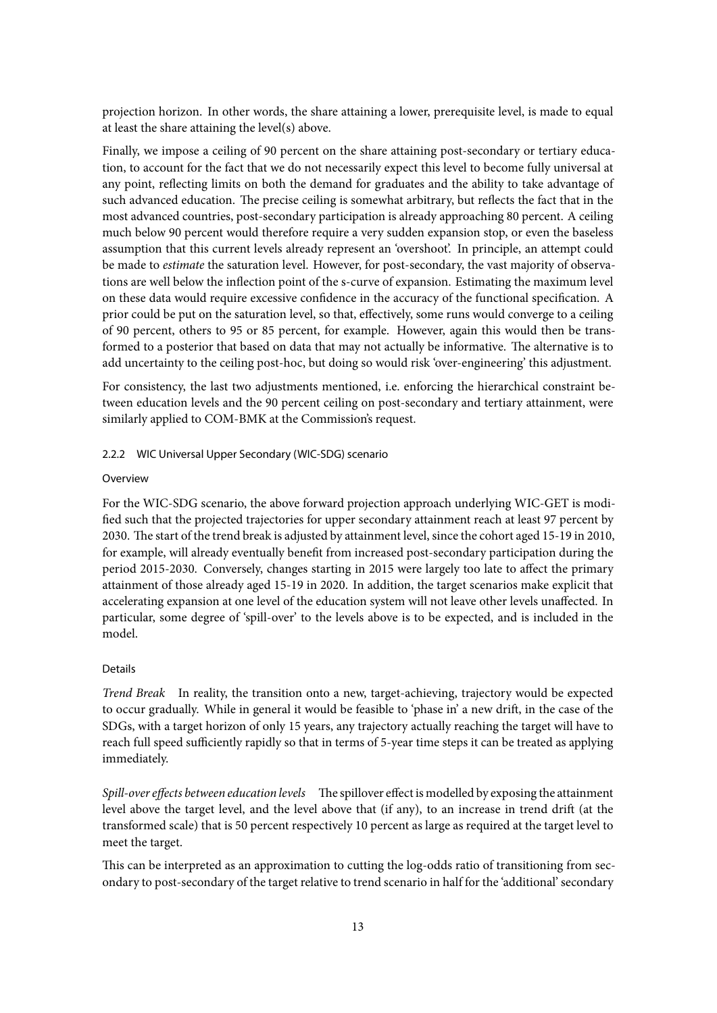projection horizon. In other words, the share attaining a lower, prerequisite level, is made to equal at least the share attaining the level(s) above.

Finally, we impose a ceiling of 90 percent on the share attaining post-secondary or tertiary education, to account for the fact that we do not necessarily expect this level to become fully universal at any point, reflecting limits on both the demand for graduates and the ability to take advantage of such advanced education. The precise ceiling is somewhat arbitrary, but reflects the fact that in the most advanced countries, post-secondary participation is already approaching 80 percent. A ceiling much below 90 percent would therefore require a very sudden expansion stop, or even the baseless assumption that this current levels already represent an 'overshoot'. In principle, an attempt could be made to *estimate* the saturation level. However, for post-secondary, the vast majority of observations are well below the inflection point of the s-curve of expansion. Estimating the maximum level on these data would require excessive confidence in the accuracy of the functional specification. A prior could be put on the saturation level, so that, effectively, some runs would converge to a ceiling of 90 percent, others to 95 or 85 percent, for example. However, again this would then be transformed to a posterior that based on data that may not actually be informative. The alternative is to add uncertainty to the ceiling post-hoc, but doing so would risk 'over-engineering' this adjustment.

For consistency, the last two adjustments mentioned, i.e. enforcing the hierarchical constraint between education levels and the 90 percent ceiling on post-secondary and tertiary attainment, were similarly applied to COM-BMK at the Commission's request.

#### 2.2.2 WIC Universal Upper Secondary (WIC-SDG) scenario

#### Overview

For the WIC-SDG scenario, the above forward projection approach underlying WIC-GET is modified such that the projected trajectories for upper secondary attainment reach at least 97 percent by 2030. The start of the trend break is adjusted by attainment level, since the cohort aged 15-19 in 2010, for example, will already eventually benefit from increased post-secondary participation during the period 2015-2030. Conversely, changes starting in 2015 were largely too late to affect the primary attainment of those already aged 15-19 in 2020. In addition, the target scenarios make explicit that accelerating expansion at one level of the education system will not leave other levels unaffected. In particular, some degree of 'spill-over' to the levels above is to be expected, and is included in the model.

#### Details

*Trend Break* In reality, the transition onto a new, target-achieving, trajectory would be expected to occur gradually. While in general it would be feasible to 'phase in' a new drift, in the case of the SDGs, with a target horizon of only 15 years, any trajectory actually reaching the target will have to reach full speed sufficiently rapidly so that in terms of 5-year time steps it can be treated as applying immediately.

*Spill-over effects between education levels* The spillover effect is modelled by exposing the attainment level above the target level, and the level above that (if any), to an increase in trend drift (at the transformed scale) that is 50 percent respectively 10 percent as large as required at the target level to meet the target.

This can be interpreted as an approximation to cutting the log-odds ratio of transitioning from secondary to post-secondary of the target relative to trend scenario in half for the 'additional' secondary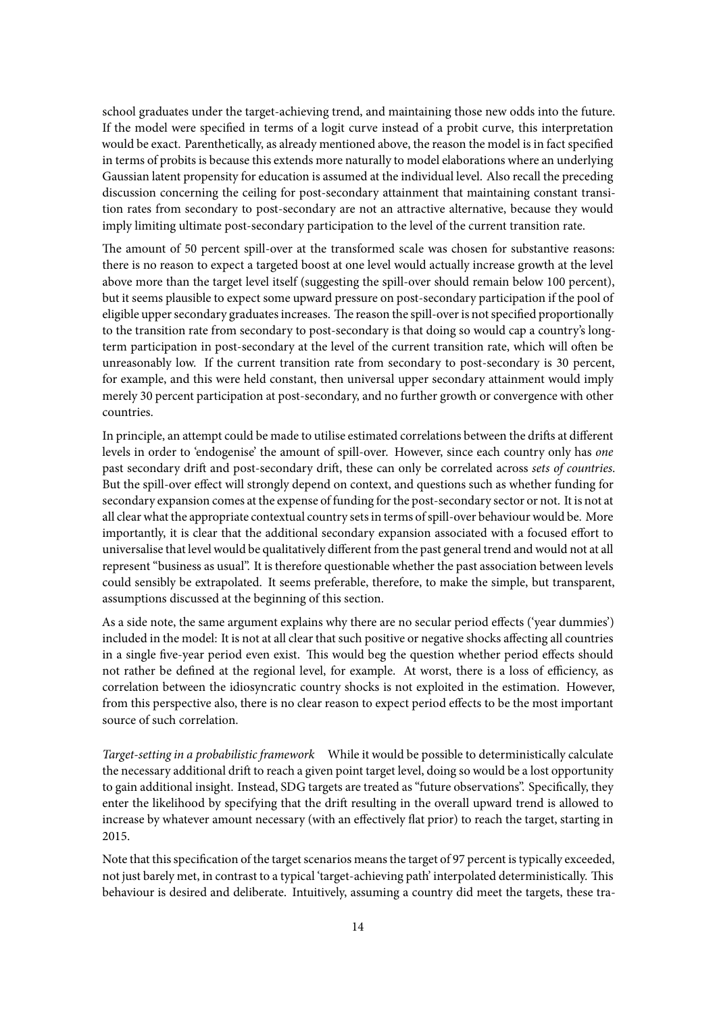school graduates under the target-achieving trend, and maintaining those new odds into the future. If the model were specified in terms of a logit curve instead of a probit curve, this interpretation would be exact. Parenthetically, as already mentioned above, the reason the model is in fact specified in terms of probits is because this extends more naturally to model elaborations where an underlying Gaussian latent propensity for education is assumed at the individual level. Also recall the preceding discussion concerning the ceiling for post-secondary attainment that maintaining constant transition rates from secondary to post-secondary are not an attractive alternative, because they would imply limiting ultimate post-secondary participation to the level of the current transition rate.

The amount of 50 percent spill-over at the transformed scale was chosen for substantive reasons: there is no reason to expect a targeted boost at one level would actually increase growth at the level above more than the target level itself (suggesting the spill-over should remain below 100 percent), but it seems plausible to expect some upward pressure on post-secondary participation if the pool of eligible upper secondary graduates increases. The reason the spill-over is not specified proportionally to the transition rate from secondary to post-secondary is that doing so would cap a country's longterm participation in post-secondary at the level of the current transition rate, which will often be unreasonably low. If the current transition rate from secondary to post-secondary is 30 percent, for example, and this were held constant, then universal upper secondary attainment would imply merely 30 percent participation at post-secondary, and no further growth or convergence with other countries.

In principle, an attempt could be made to utilise estimated correlations between the drifts at different levels in order to 'endogenise' the amount of spill-over. However, since each country only has *one* past secondary drift and post-secondary drift, these can only be correlated across *sets of countries*. But the spill-over effect will strongly depend on context, and questions such as whether funding for secondary expansion comes at the expense of funding for the post-secondary sector or not. It is not at all clear what the appropriate contextual country sets in terms of spill-over behaviour would be. More importantly, it is clear that the additional secondary expansion associated with a focused effort to universalise that level would be qualitatively different from the past general trend and would not at all represent "business as usual". It is therefore questionable whether the past association between levels could sensibly be extrapolated. It seems preferable, therefore, to make the simple, but transparent, assumptions discussed at the beginning of this section.

As a side note, the same argument explains why there are no secular period effects ('year dummies') included in the model: It is not at all clear that such positive or negative shocks affecting all countries in a single five-year period even exist. This would beg the question whether period effects should not rather be defined at the regional level, for example. At worst, there is a loss of efficiency, as correlation between the idiosyncratic country shocks is not exploited in the estimation. However, from this perspective also, there is no clear reason to expect period effects to be the most important source of such correlation.

*Target-setting in a probabilistic framework* While it would be possible to deterministically calculate the necessary additional drift to reach a given point target level, doing so would be a lost opportunity to gain additional insight. Instead, SDG targets are treated as "future observations". Specifically, they enter the likelihood by specifying that the drift resulting in the overall upward trend is allowed to increase by whatever amount necessary (with an effectively flat prior) to reach the target, starting in 2015.

Note that this specification of the target scenarios means the target of 97 percent is typically exceeded, not just barely met, in contrast to a typical 'target-achieving path' interpolated deterministically. This behaviour is desired and deliberate. Intuitively, assuming a country did meet the targets, these tra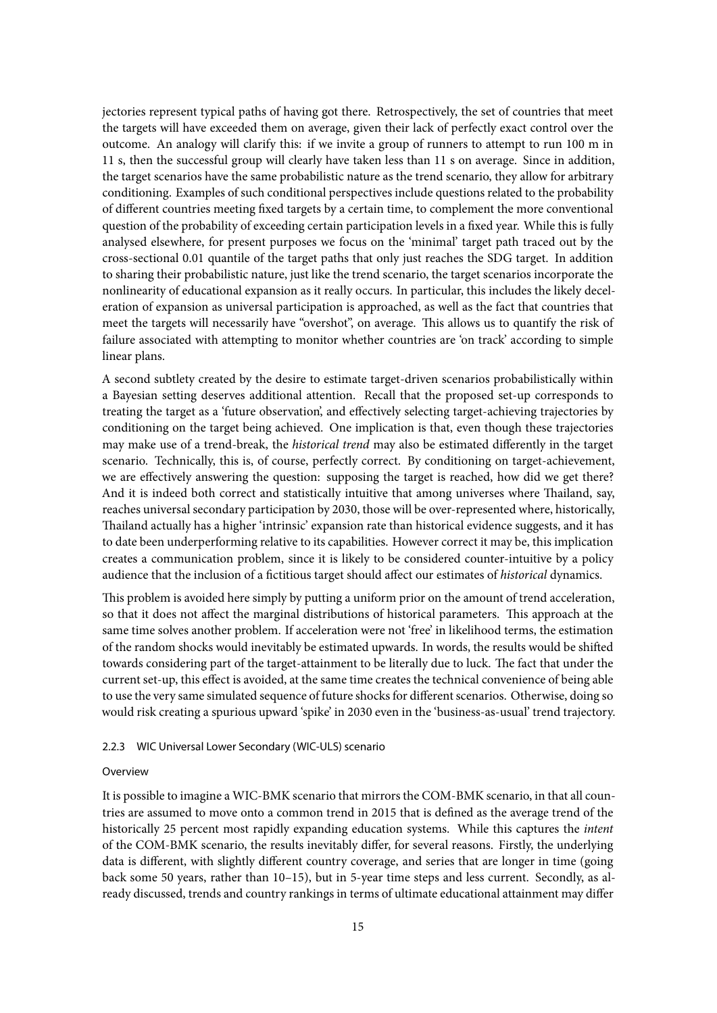jectories represent typical paths of having got there. Retrospectively, the set of countries that meet the targets will have exceeded them on average, given their lack of perfectly exact control over the outcome. An analogy will clarify this: if we invite a group of runners to attempt to run 100 m in 11 s, then the successful group will clearly have taken less than 11 s on average. Since in addition, the target scenarios have the same probabilistic nature as the trend scenario, they allow for arbitrary conditioning. Examples of such conditional perspectives include questions related to the probability of different countries meeting fixed targets by a certain time, to complement the more conventional question of the probability of exceeding certain participation levels in a fixed year. While this is fully analysed elsewhere, for present purposes we focus on the 'minimal' target path traced out by the cross-sectional 0.01 quantile of the target paths that only just reaches the SDG target. In addition to sharing their probabilistic nature, just like the trend scenario, the target scenarios incorporate the nonlinearity of educational expansion as it really occurs. In particular, this includes the likely deceleration of expansion as universal participation is approached, as well as the fact that countries that meet the targets will necessarily have "overshot", on average. This allows us to quantify the risk of failure associated with attempting to monitor whether countries are 'on track' according to simple linear plans.

A second subtlety created by the desire to estimate target-driven scenarios probabilistically within a Bayesian setting deserves additional attention. Recall that the proposed set-up corresponds to treating the target as a 'future observation', and effectively selecting target-achieving trajectories by conditioning on the target being achieved. One implication is that, even though these trajectories may make use of a trend-break, the *historical trend* may also be estimated differently in the target scenario. Technically, this is, of course, perfectly correct. By conditioning on target-achievement, we are effectively answering the question: supposing the target is reached, how did we get there? And it is indeed both correct and statistically intuitive that among universes where Thailand, say, reaches universal secondary participation by 2030, those will be over-represented where, historically, Thailand actually has a higher 'intrinsic' expansion rate than historical evidence suggests, and it has to date been underperforming relative to its capabilities. However correct it may be, this implication creates a communication problem, since it is likely to be considered counter-intuitive by a policy audience that the inclusion of a fictitious target should affect our estimates of *historical* dynamics.

This problem is avoided here simply by putting a uniform prior on the amount of trend acceleration, so that it does not affect the marginal distributions of historical parameters. This approach at the same time solves another problem. If acceleration were not 'free' in likelihood terms, the estimation of the random shocks would inevitably be estimated upwards. In words, the results would be shifted towards considering part of the target-attainment to be literally due to luck. The fact that under the current set-up, this effect is avoided, at the same time creates the technical convenience of being able to use the very same simulated sequence of future shocks for different scenarios. Otherwise, doing so would risk creating a spurious upward 'spike' in 2030 even in the 'business-as-usual' trend trajectory.

## 2.2.3 WIC Universal Lower Secondary (WIC-ULS) scenario

#### Overview

It is possible to imagine a WIC-BMK scenario that mirrors the COM-BMK scenario, in that all countries are assumed to move onto a common trend in 2015 that is defined as the average trend of the historically 25 percent most rapidly expanding education systems. While this captures the *intent* of the COM-BMK scenario, the results inevitably differ, for several reasons. Firstly, the underlying data is different, with slightly different country coverage, and series that are longer in time (going back some 50 years, rather than 10–15), but in 5-year time steps and less current. Secondly, as already discussed, trends and country rankings in terms of ultimate educational attainment may differ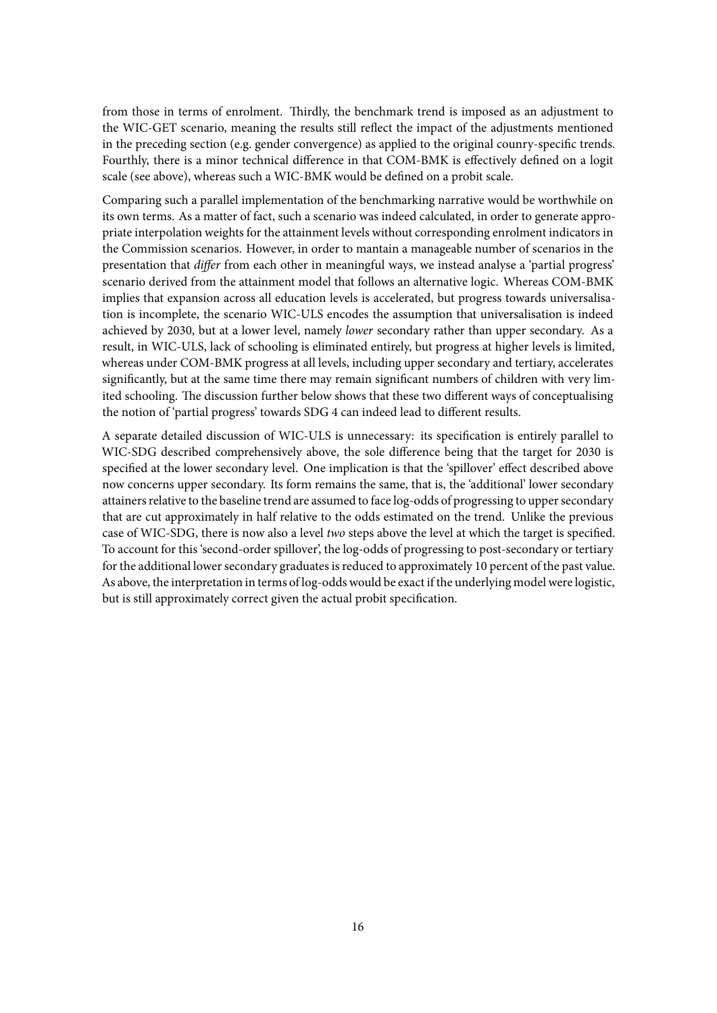from those in terms of enrolment. Thirdly, the benchmark trend is imposed as an adjustment to the WIC-GET scenario, meaning the results still reflect the impact of the adjustments mentioned in the preceding section (e.g. gender convergence) as applied to the original counry-specific trends. Fourthly, there is a minor technical difference in that COM-BMK is effectively defined on a logit scale (see above), whereas such a WIC-BMK would be defined on a probit scale.

Comparing such a parallel implementation of the benchmarking narrative would be worthwhile on its own terms. As a matter of fact, such a scenario was indeed calculated, in order to generate appropriate interpolation weights for the attainment levels without corresponding enrolment indicators in the Commission scenarios. However, in order to mantain a manageable number of scenarios in the presentation that *differ* from each other in meaningful ways, we instead analyse a 'partial progress' scenario derived from the attainment model that follows an alternative logic. Whereas COM-BMK implies that expansion across all education levels is accelerated, but progress towards universalisation is incomplete, the scenario WIC-ULS encodes the assumption that universalisation is indeed achieved by 2030, but at a lower level, namely *lower* secondary rather than upper secondary. As a result, in WIC-ULS, lack of schooling is eliminated entirely, but progress at higher levels is limited, whereas under COM-BMK progress at all levels, including upper secondary and tertiary, accelerates significantly, but at the same time there may remain significant numbers of children with very limited schooling. The discussion further below shows that these two different ways of conceptualising the notion of 'partial progress' towards SDG 4 can indeed lead to different results.

A separate detailed discussion of WIC-ULS is unnecessary: its specification is entirely parallel to WIC-SDG described comprehensively above, the sole difference being that the target for 2030 is specified at the lower secondary level. One implication is that the 'spillover' effect described above now concerns upper secondary. Its form remains the same, that is, the 'additional' lower secondary attainers relative to the baseline trend are assumed to face log-odds of progressing to upper secondary that are cut approximately in half relative to the odds estimated on the trend. Unlike the previous case of WIC-SDG, there is now also a level *two* steps above the level at which the target is specified. To account for this 'second-order spillover', the log-odds of progressing to post-secondary or tertiary for the additional lower secondary graduates is reduced to approximately 10 percent of the past value. As above, the interpretation in terms of log-odds would be exact if the underlying model were logistic, but is still approximately correct given the actual probit specification.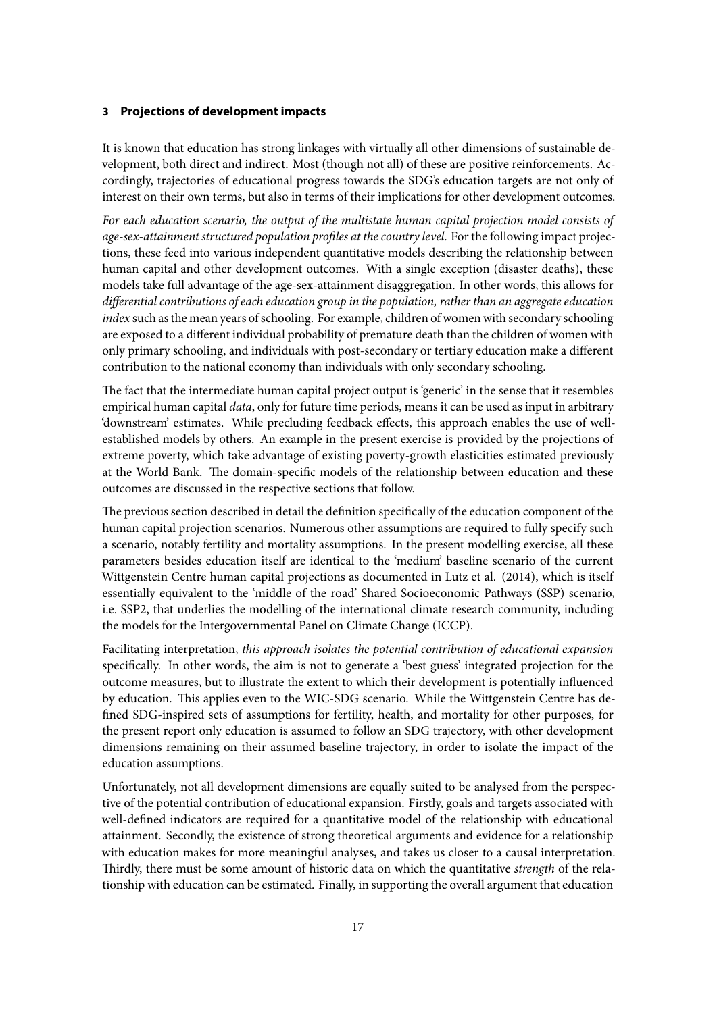# <span id="page-17-0"></span>**3 Projections of development impacts**

It is known that education has strong linkages with virtually all other dimensions of sustainable development, both direct and indirect. Most (though not all) of these are positive reinforcements. Accordingly, trajectories of educational progress towards the SDG's education targets are not only of interest on their own terms, but also in terms of their implications for other development outcomes.

*For each education scenario, the output of the multistate human capital projection model consists of age-sex-attainment structured population profiles at the country level*. For the following impact projections, these feed into various independent quantitative models describing the relationship between human capital and other development outcomes. With a single exception (disaster deaths), these models take full advantage of the age-sex-attainment disaggregation. In other words, this allows for *differential contributions of each education group in the population, rather than an aggregate education index* such as the mean years of schooling. For example, children of women with secondary schooling are exposed to a different individual probability of premature death than the children of women with only primary schooling, and individuals with post-secondary or tertiary education make a different contribution to the national economy than individuals with only secondary schooling.

The fact that the intermediate human capital project output is 'generic' in the sense that it resembles empirical human capital *data*, only for future time periods, means it can be used as input in arbitrary 'downstream' estimates. While precluding feedback effects, this approach enables the use of wellestablished models by others. An example in the present exercise is provided by the projections of extreme poverty, which take advantage of existing poverty-growth elasticities estimated previously at the World Bank. The domain-specific models of the relationship between education and these outcomes are discussed in the respective sections that follow.

The previous section described in detail the definition specifically of the education component of the human capital projection scenarios. Numerous other assumptions are required to fully specify such a scenario, notably fertility and mortality assumptions. In the present modelling exercise, all these parameters besides education itself are identical to the 'medium' baseline scenario of the current Wittgenstein Centre human capital projections as documented in Lutz et al. (2014), which is itself essentially equivalent to the 'middle of the road' Shared Socioeconomic Pathways (SSP) scenario, i.e. SSP2, that underlies the modelling of the international climate research community, including the models for the Intergovernmental Panel on Climate Change (ICCP).

Facilitating interpretation, *this approach isolates the potential contribution of educational expansion* specifically. In other words, the aim is not to generate a 'best guess' integrated projection for the outcome measures, but to illustrate the extent to which their development is potentially influenced by education. This applies even to the WIC-SDG scenario. While the Wittgenstein Centre has defined SDG-inspired sets of assumptions for fertility, health, and mortality for other purposes, for the present report only education is assumed to follow an SDG trajectory, with other development dimensions remaining on their assumed baseline trajectory, in order to isolate the impact of the education assumptions.

Unfortunately, not all development dimensions are equally suited to be analysed from the perspective of the potential contribution of educational expansion. Firstly, goals and targets associated with well-defined indicators are required for a quantitative model of the relationship with educational attainment. Secondly, the existence of strong theoretical arguments and evidence for a relationship with education makes for more meaningful analyses, and takes us closer to a causal interpretation. Thirdly, there must be some amount of historic data on which the quantitative *strength* of the relationship with education can be estimated. Finally, in supporting the overall argument that education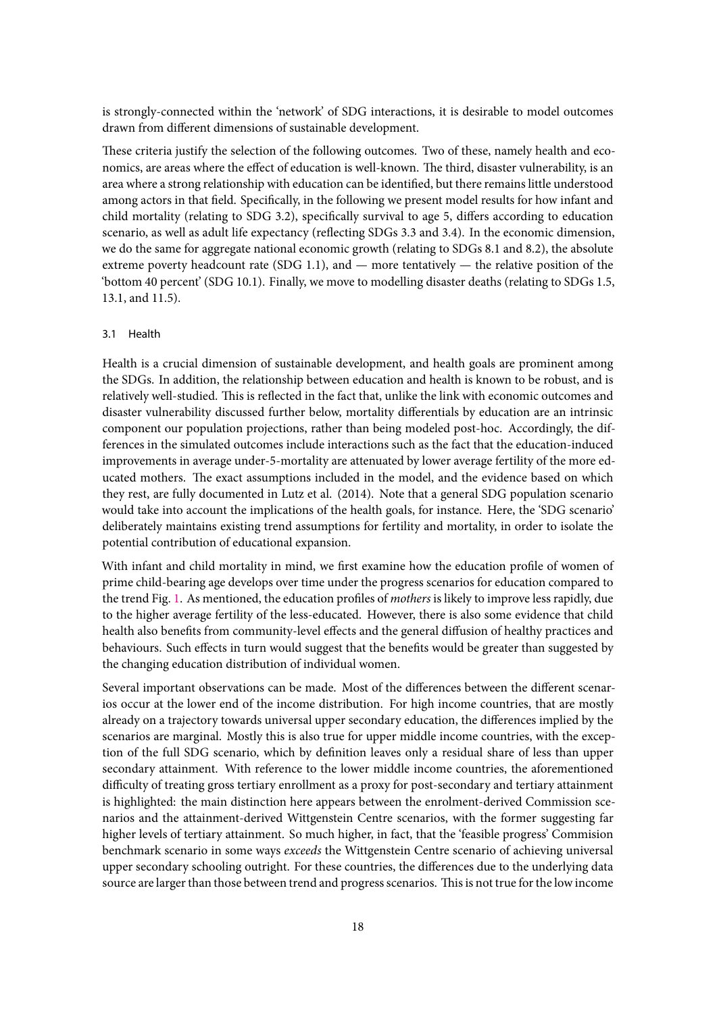is strongly-connected within the 'network' of SDG interactions, it is desirable to model outcomes drawn from different dimensions of sustainable development.

These criteria justify the selection of the following outcomes. Two of these, namely health and economics, are areas where the effect of education is well-known. The third, disaster vulnerability, is an area where a strong relationship with education can be identified, but there remains little understood among actors in that field. Specifically, in the following we present model results for how infant and child mortality (relating to SDG 3.2), specifically survival to age 5, differs according to education scenario, as well as adult life expectancy (reflecting SDGs 3.3 and 3.4). In the economic dimension, we do the same for aggregate national economic growth (relating to SDGs 8.1 and 8.2), the absolute extreme poverty headcount rate (SDG 1.1), and — more tentatively — the relative position of the 'bottom 40 percent' (SDG 10.1). Finally, we move to modelling disaster deaths (relating to SDGs 1.5, 13.1, and 11.5).

# <span id="page-18-0"></span>3.1 Health

Health is a crucial dimension of sustainable development, and health goals are prominent among the SDGs. In addition, the relationship between education and health is known to be robust, and is relatively well-studied. This is reflected in the fact that, unlike the link with economic outcomes and disaster vulnerability discussed further below, mortality differentials by education are an intrinsic component our population projections, rather than being modeled post-hoc. Accordingly, the differences in the simulated outcomes include interactions such as the fact that the education-induced improvements in average under-5-mortality are attenuated by lower average fertility of the more educated mothers. The exact assumptions included in the model, and the evidence based on which they rest, are fully documented in Lutz et al. (2014). Note that a general SDG population scenario would take into account the implications of the health goals, for instance. Here, the 'SDG scenario' deliberately maintains existing trend assumptions for fertility and mortality, in order to isolate the potential contribution of educational expansion.

With infant and child mortality in mind, we first examine how the education profile of women of prime child-bearing age develops over time under the progress scenarios for education compared to the trend Fig. [1](#page-19-0). As mentioned, the education profiles of *mothers* is likely to improve less rapidly, due to the higher average fertility of the less-educated. However, there is also some evidence that child health also benefits from community-level effects and the general diffusion of healthy practices and behaviours. Such effects in turn would suggest that the benefits would be greater than suggested by the changing education distribution of individual women.

Several important observations can be made. Most of the differences between the different scenarios occur at the lower end of the income distribution. For high income countries, that are mostly already on a trajectory towards universal upper secondary education, the differences implied by the scenarios are marginal. Mostly this is also true for upper middle income countries, with the exception of the full SDG scenario, which by definition leaves only a residual share of less than upper secondary attainment. With reference to the lower middle income countries, the aforementioned difficulty of treating gross tertiary enrollment as a proxy for post-secondary and tertiary attainment is highlighted: the main distinction here appears between the enrolment-derived Commission scenarios and the attainment-derived Wittgenstein Centre scenarios, with the former suggesting far higher levels of tertiary attainment. So much higher, in fact, that the 'feasible progress' Commision benchmark scenario in some ways *exceeds* the Wittgenstein Centre scenario of achieving universal upper secondary schooling outright. For these countries, the differences due to the underlying data source are larger than those between trend and progress scenarios. This is not true for the low income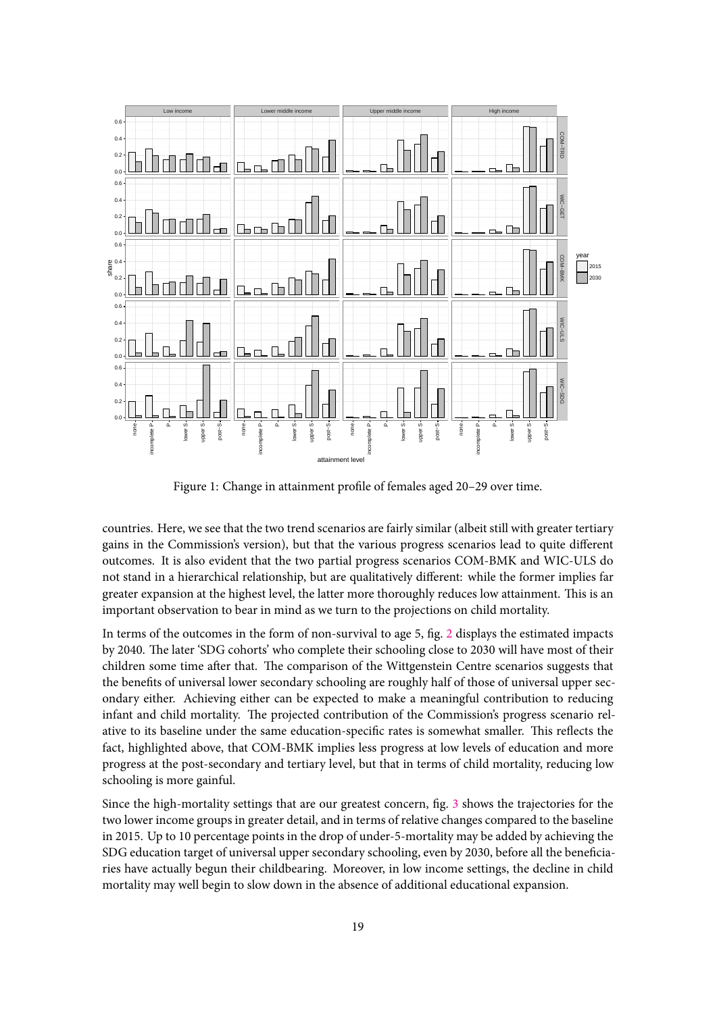<span id="page-19-0"></span>

Figure 1: Change in attainment profile of females aged 20–29 over time.

countries. Here, we see that the two trend scenarios are fairly similar (albeit still with greater tertiary gains in the Commission's version), but that the various progress scenarios lead to quite different outcomes. It is also evident that the two partial progress scenarios COM-BMK and WIC-ULS do not stand in a hierarchical relationship, but are qualitatively different: while the former implies far greater expansion at the highest level, the latter more thoroughly reduces low attainment. This is an important observation to bear in mind as we turn to the projections on child mortality.

In terms of the outcomes in the form of non-survival to age 5, fig. [2](#page-20-0) displays the estimated impacts by 2040. The later 'SDG cohorts' who complete their schooling close to 2030 will have most of their children some time after that. The comparison of the Wittgenstein Centre scenarios suggests that the benefits of universal lower secondary schooling are roughly half of those of universal upper secondary either. Achieving either can be expected to make a meaningful contribution to reducing infant and child mortality. The projected contribution of the Commission's progress scenario relative to its baseline under the same education-specific rates is somewhat smaller. This reflects the fact, highlighted above, that COM-BMK implies less progress at low levels of education and more progress at the post-secondary and tertiary level, but that in terms of child mortality, reducing low schooling is more gainful.

Since the high-mortality settings that are our greatest concern, fig. [3](#page-21-1) shows the trajectories for the two lower income groups in greater detail, and in terms of relative changes compared to the baseline in 2015. Up to 10 percentage points in the drop of under-5-mortality may be added by achieving the SDG education target of universal upper secondary schooling, even by 2030, before all the beneficiaries have actually begun their childbearing. Moreover, in low income settings, the decline in child mortality may well begin to slow down in the absence of additional educational expansion.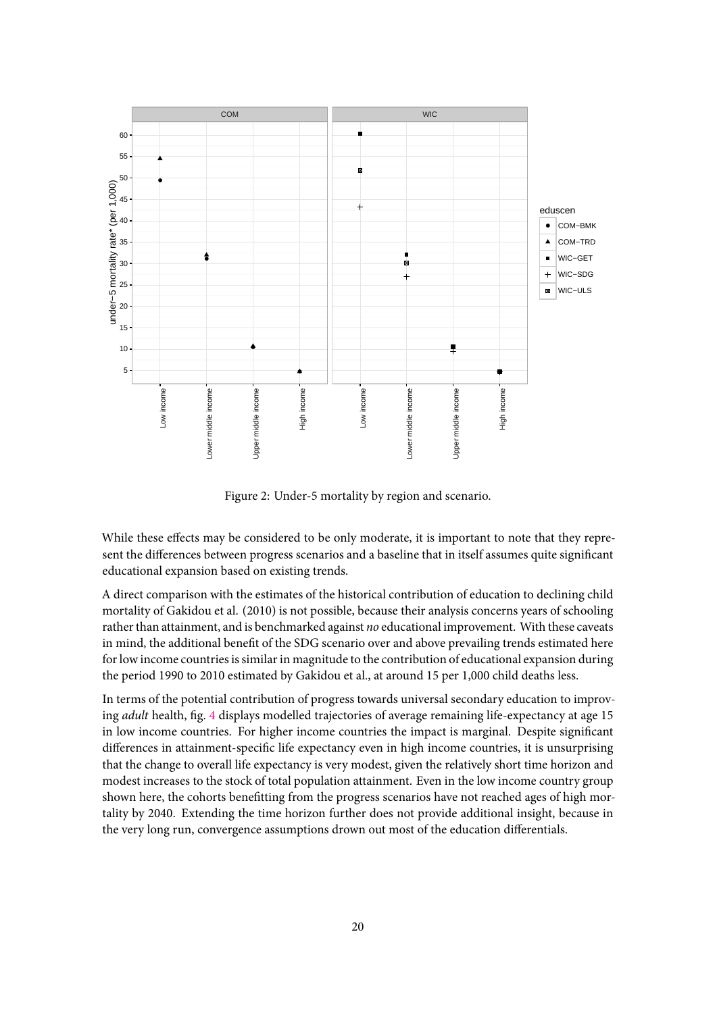<span id="page-20-0"></span>

Figure 2: Under-5 mortality by region and scenario.

While these effects may be considered to be only moderate, it is important to note that they represent the differences between progress scenarios and a baseline that in itself assumes quite significant educational expansion based on existing trends.

A direct comparison with the estimates of the historical contribution of education to declining child mortality of Gakidou et al. (2010) is not possible, because their analysis concerns years of schooling rather than attainment, and is benchmarked against *no* educational improvement. With these caveats in mind, the additional benefit of the SDG scenario over and above prevailing trends estimated here for low income countries is similar in magnitude to the contribution of educational expansion during the period 1990 to 2010 estimated by Gakidou et al., at around 15 per 1,000 child deaths less.

In terms of the potential contribution of progress towards universal secondary education to improving *adult* health, fig. [4](#page-22-0) displays modelled trajectories of average remaining life-expectancy at age 15 in low income countries. For higher income countries the impact is marginal. Despite significant differences in attainment-specific life expectancy even in high income countries, it is unsurprising that the change to overall life expectancy is very modest, given the relatively short time horizon and modest increases to the stock of total population attainment. Even in the low income country group shown here, the cohorts benefitting from the progress scenarios have not reached ages of high mortality by 2040. Extending the time horizon further does not provide additional insight, because in the very long run, convergence assumptions drown out most of the education differentials.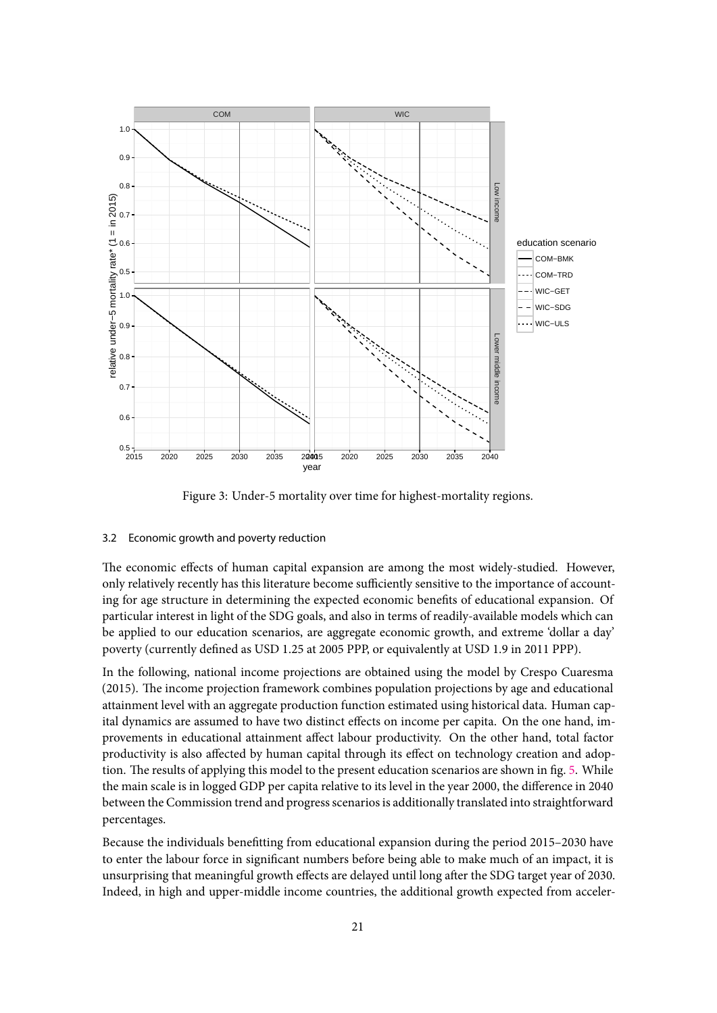<span id="page-21-1"></span>

Figure 3: Under-5 mortality over time for highest-mortality regions.

# <span id="page-21-0"></span>3.2 Economic growth and poverty reduction

The economic effects of human capital expansion are among the most widely-studied. However, only relatively recently has this literature become sufficiently sensitive to the importance of accounting for age structure in determining the expected economic benefits of educational expansion. Of particular interest in light of the SDG goals, and also in terms of readily-available models which can be applied to our education scenarios, are aggregate economic growth, and extreme 'dollar a day' poverty (currently defined as USD 1.25 at 2005 PPP, or equivalently at USD 1.9 in 2011 PPP).

In the following, national income projections are obtained using the model by Crespo Cuaresma (2015). The income projection framework combines population projections by age and educational attainment level with an aggregate production function estimated using historical data. Human capital dynamics are assumed to have two distinct effects on income per capita. On the one hand, improvements in educational attainment affect labour productivity. On the other hand, total factor productivity is also affected by human capital through its effect on technology creation and adoption. The results of applying this model to the present education scenarios are shown in fig. [5.](#page-23-0) While the main scale is in logged GDP per capita relative to its level in the year 2000, the difference in 2040 between the Commission trend and progress scenarios is additionally translated into straightforward percentages.

Because the individuals benefitting from educational expansion during the period 2015–2030 have to enter the labour force in significant numbers before being able to make much of an impact, it is unsurprising that meaningful growth effects are delayed until long after the SDG target year of 2030. Indeed, in high and upper-middle income countries, the additional growth expected from acceler-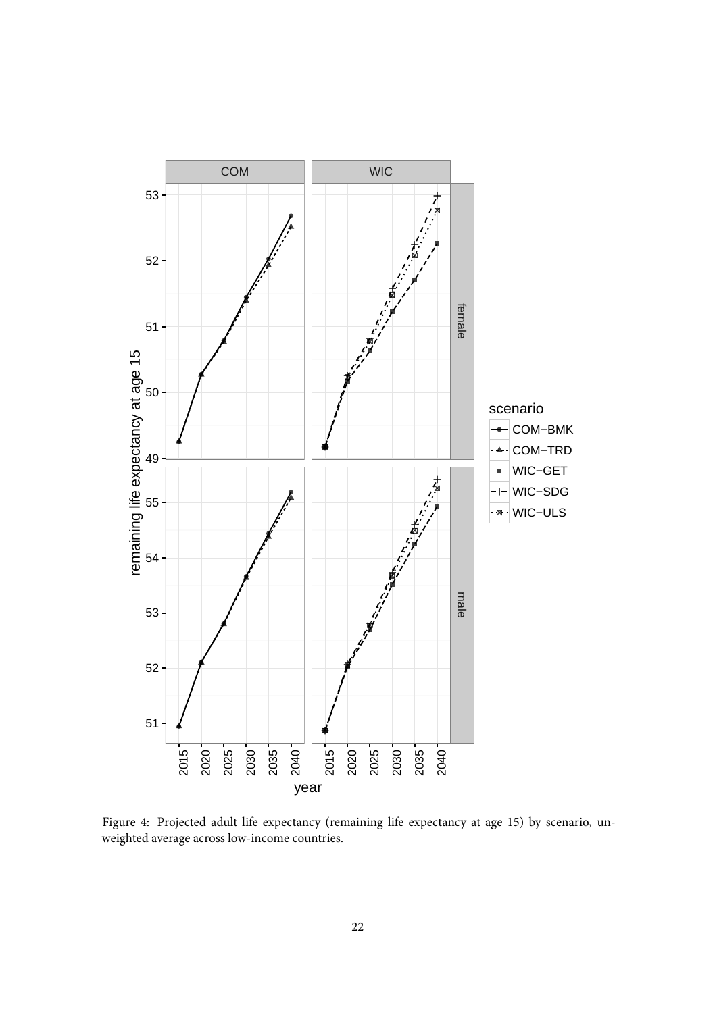<span id="page-22-0"></span>

Figure 4: Projected adult life expectancy (remaining life expectancy at age 15) by scenario, unweighted average across low-income countries.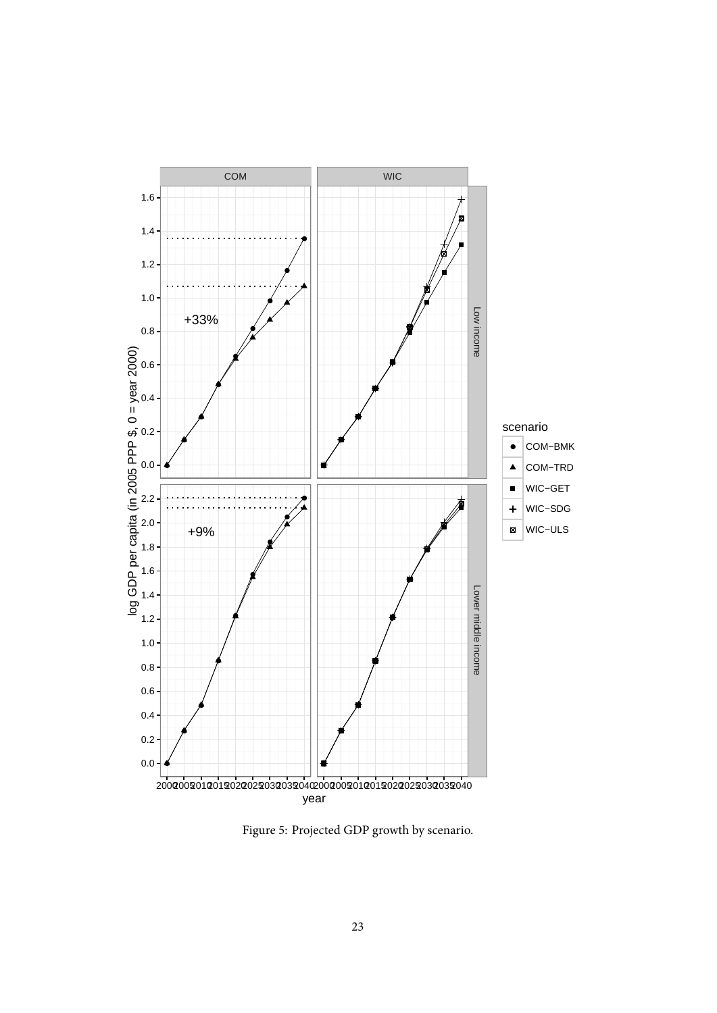<span id="page-23-0"></span>

Figure 5: Projected GDP growth by scenario.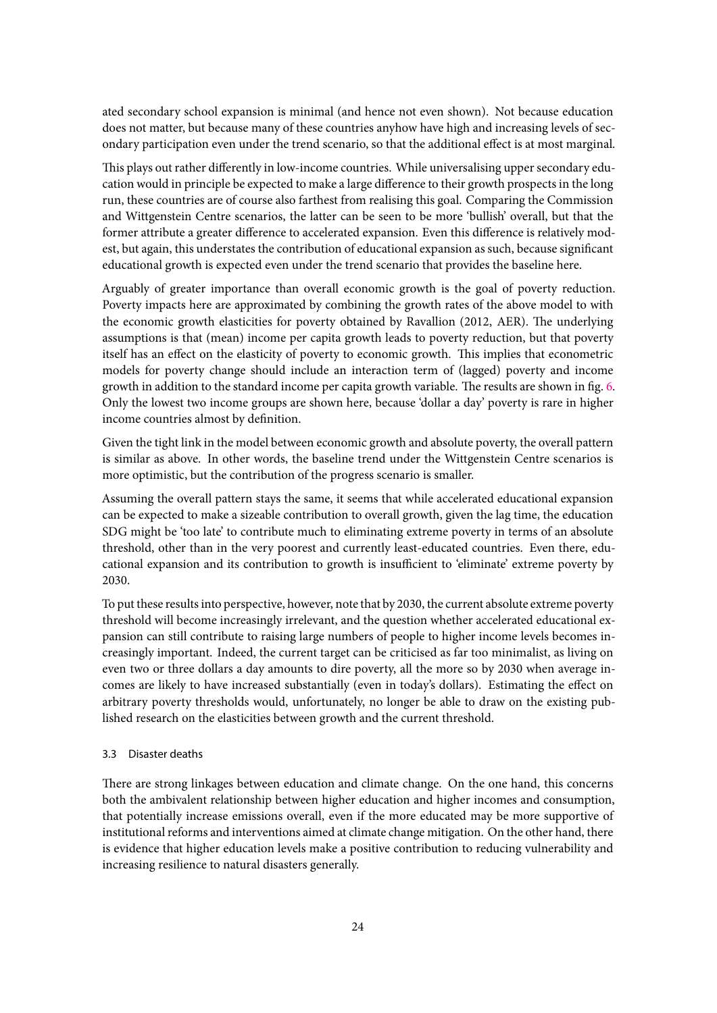ated secondary school expansion is minimal (and hence not even shown). Not because education does not matter, but because many of these countries anyhow have high and increasing levels of secondary participation even under the trend scenario, so that the additional effect is at most marginal.

This plays out rather differently in low-income countries. While universalising upper secondary education would in principle be expected to make a large difference to their growth prospects in the long run, these countries are of course also farthest from realising this goal. Comparing the Commission and Wittgenstein Centre scenarios, the latter can be seen to be more 'bullish' overall, but that the former attribute a greater difference to accelerated expansion. Even this difference is relatively modest, but again, this understates the contribution of educational expansion as such, because significant educational growth is expected even under the trend scenario that provides the baseline here.

Arguably of greater importance than overall economic growth is the goal of poverty reduction. Poverty impacts here are approximated by combining the growth rates of the above model to with the economic growth elasticities for poverty obtained by Ravallion (2012, AER). The underlying assumptions is that (mean) income per capita growth leads to poverty reduction, but that poverty itself has an effect on the elasticity of poverty to economic growth. This implies that econometric models for poverty change should include an interaction term of (lagged) poverty and income growth in addition to the standard income per capita growth variable. The results are shown in fig. [6.](#page-25-0) Only the lowest two income groups are shown here, because 'dollar a day' poverty is rare in higher income countries almost by definition.

Given the tight link in the model between economic growth and absolute poverty, the overall pattern is similar as above. In other words, the baseline trend under the Wittgenstein Centre scenarios is more optimistic, but the contribution of the progress scenario is smaller.

Assuming the overall pattern stays the same, it seems that while accelerated educational expansion can be expected to make a sizeable contribution to overall growth, given the lag time, the education SDG might be 'too late' to contribute much to eliminating extreme poverty in terms of an absolute threshold, other than in the very poorest and currently least-educated countries. Even there, educational expansion and its contribution to growth is insufficient to 'eliminate' extreme poverty by 2030.

To put these results into perspective, however, note that by 2030, the current absolute extreme poverty threshold will become increasingly irrelevant, and the question whether accelerated educational expansion can still contribute to raising large numbers of people to higher income levels becomes increasingly important. Indeed, the current target can be criticised as far too minimalist, as living on even two or three dollars a day amounts to dire poverty, all the more so by 2030 when average incomes are likely to have increased substantially (even in today's dollars). Estimating the effect on arbitrary poverty thresholds would, unfortunately, no longer be able to draw on the existing published research on the elasticities between growth and the current threshold.

#### <span id="page-24-0"></span>3.3 Disaster deaths

There are strong linkages between education and climate change. On the one hand, this concerns both the ambivalent relationship between higher education and higher incomes and consumption, that potentially increase emissions overall, even if the more educated may be more supportive of institutional reforms and interventions aimed at climate change mitigation. On the other hand, there is evidence that higher education levels make a positive contribution to reducing vulnerability and increasing resilience to natural disasters generally.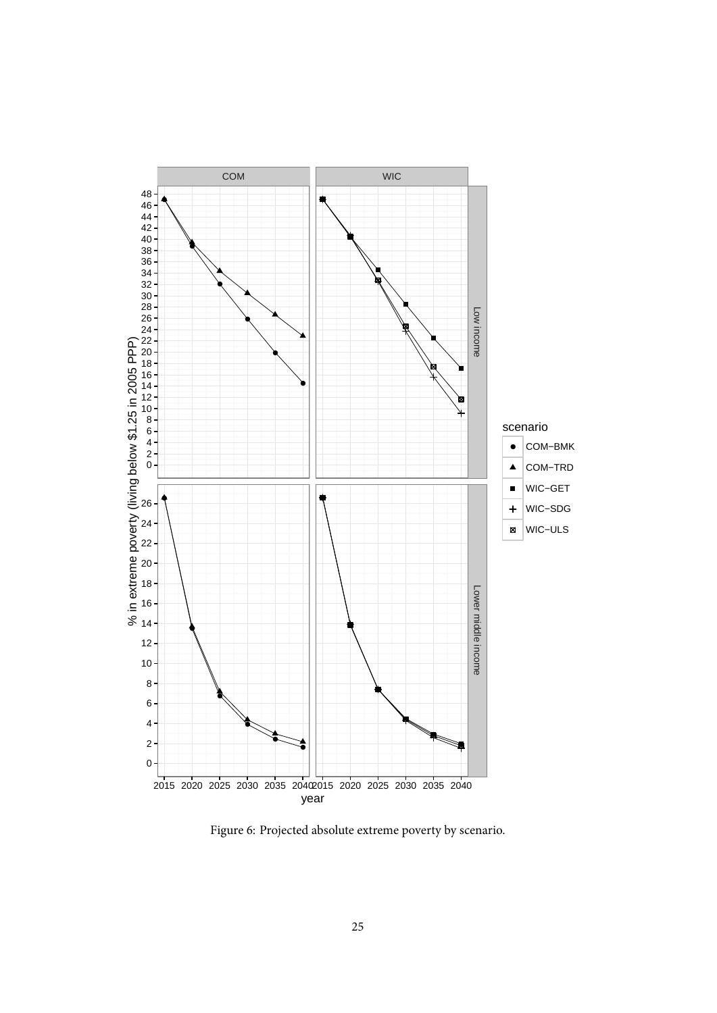<span id="page-25-0"></span>

Figure 6: Projected absolute extreme poverty by scenario.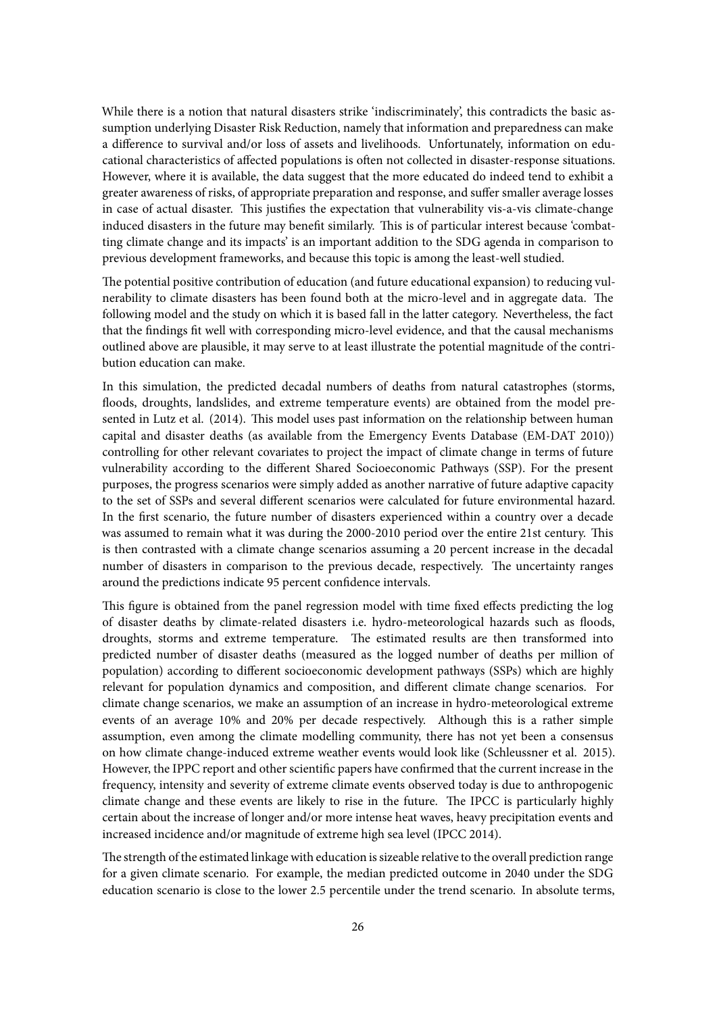While there is a notion that natural disasters strike 'indiscriminately', this contradicts the basic assumption underlying Disaster Risk Reduction, namely that information and preparedness can make a difference to survival and/or loss of assets and livelihoods. Unfortunately, information on educational characteristics of affected populations is often not collected in disaster-response situations. However, where it is available, the data suggest that the more educated do indeed tend to exhibit a greater awareness of risks, of appropriate preparation and response, and suffer smaller average losses in case of actual disaster. This justifies the expectation that vulnerability vis-a-vis climate-change induced disasters in the future may benefit similarly. This is of particular interest because 'combatting climate change and its impacts' is an important addition to the SDG agenda in comparison to previous development frameworks, and because this topic is among the least-well studied.

The potential positive contribution of education (and future educational expansion) to reducing vulnerability to climate disasters has been found both at the micro-level and in aggregate data. The following model and the study on which it is based fall in the latter category. Nevertheless, the fact that the findings fit well with corresponding micro-level evidence, and that the causal mechanisms outlined above are plausible, it may serve to at least illustrate the potential magnitude of the contribution education can make.

In this simulation, the predicted decadal numbers of deaths from natural catastrophes (storms, floods, droughts, landslides, and extreme temperature events) are obtained from the model presented in Lutz et al. (2014). This model uses past information on the relationship between human capital and disaster deaths (as available from the Emergency Events Database (EM-DAT 2010)) controlling for other relevant covariates to project the impact of climate change in terms of future vulnerability according to the different Shared Socioeconomic Pathways (SSP). For the present purposes, the progress scenarios were simply added as another narrative of future adaptive capacity to the set of SSPs and several different scenarios were calculated for future environmental hazard. In the first scenario, the future number of disasters experienced within a country over a decade was assumed to remain what it was during the 2000-2010 period over the entire 21st century. This is then contrasted with a climate change scenarios assuming a 20 percent increase in the decadal number of disasters in comparison to the previous decade, respectively. The uncertainty ranges around the predictions indicate 95 percent confidence intervals.

This figure is obtained from the panel regression model with time fixed effects predicting the log of disaster deaths by climate-related disasters i.e. hydro-meteorological hazards such as floods, droughts, storms and extreme temperature. The estimated results are then transformed into predicted number of disaster deaths (measured as the logged number of deaths per million of population) according to different socioeconomic development pathways (SSPs) which are highly relevant for population dynamics and composition, and different climate change scenarios. For climate change scenarios, we make an assumption of an increase in hydro-meteorological extreme events of an average 10% and 20% per decade respectively. Although this is a rather simple assumption, even among the climate modelling community, there has not yet been a consensus on how climate change-induced extreme weather events would look like (Schleussner et al. 2015). However, the IPPC report and other scientific papers have confirmed that the current increase in the frequency, intensity and severity of extreme climate events observed today is due to anthropogenic climate change and these events are likely to rise in the future. The IPCC is particularly highly certain about the increase of longer and/or more intense heat waves, heavy precipitation events and increased incidence and/or magnitude of extreme high sea level (IPCC 2014).

The strength of the estimated linkage with education is sizeable relative to the overall prediction range for a given climate scenario. For example, the median predicted outcome in 2040 under the SDG education scenario is close to the lower 2.5 percentile under the trend scenario. In absolute terms,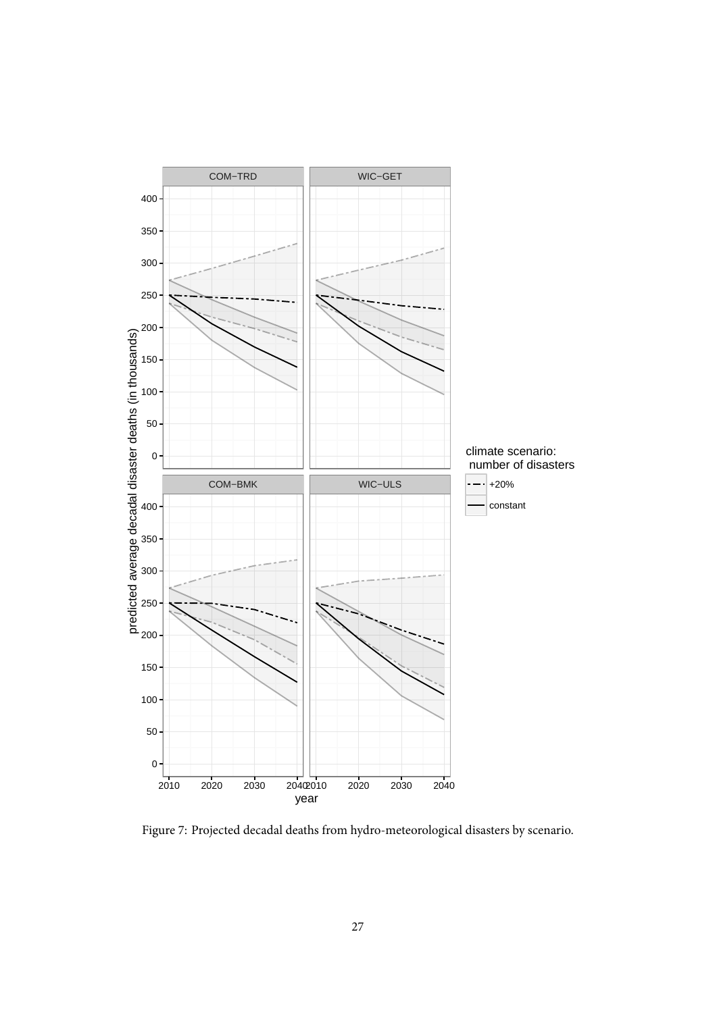

Figure 7: Projected decadal deaths from hydro-meteorological disasters by scenario.